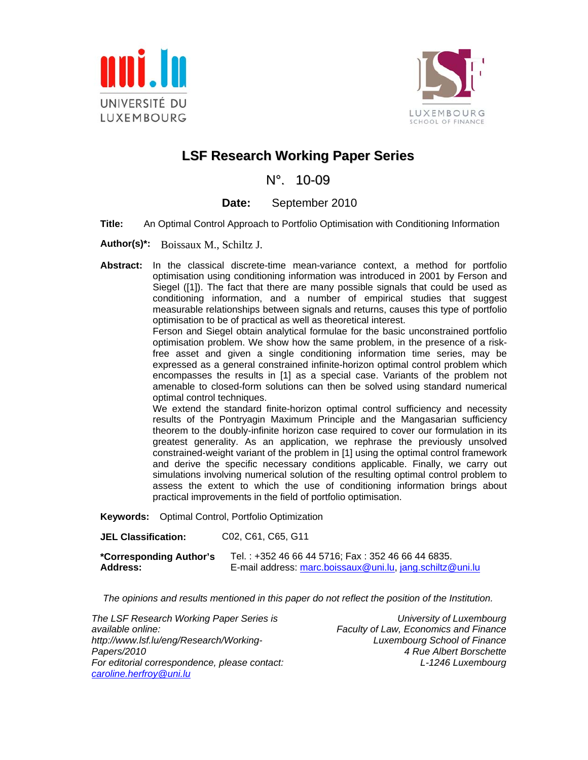



## **LSF Research Working Paper Series**

N°. 10-09

### **Date:** September 2010

- **Title:** An Optimal Control Approach to Portfolio Optimisation with Conditioning Information
- **Author(s)\*:** Boissaux M., Schiltz J.
- **Abstract:** In the classical discrete-time mean-variance context, a method for portfolio optimisation using conditioning information was introduced in 2001 by Ferson and Siegel ([1]). The fact that there are many possible signals that could be used as conditioning information, and a number of empirical studies that suggest measurable relationships between signals and returns, causes this type of portfolio optimisation to be of practical as well as theoretical interest.

Ferson and Siegel obtain analytical formulae for the basic unconstrained portfolio optimisation problem. We show how the same problem, in the presence of a riskfree asset and given a single conditioning information time series, may be expressed as a general constrained infinite-horizon optimal control problem which encompasses the results in [1] as a special case. Variants of the problem not amenable to closed-form solutions can then be solved using standard numerical optimal control techniques.

We extend the standard finite-horizon optimal control sufficiency and necessity results of the Pontryagin Maximum Principle and the Mangasarian sufficiency theorem to the doubly-infinite horizon case required to cover our formulation in its greatest generality. As an application, we rephrase the previously unsolved constrained-weight variant of the problem in [1] using the optimal control framework and derive the specific necessary conditions applicable. Finally, we carry out simulations involving numerical solution of the resulting optimal control problem to assess the extent to which the use of conditioning information brings about practical improvements in the field of portfolio optimisation.

**Keywords:** Optimal Control, Portfolio Optimization

| <b>JEL Classification:</b> | C <sub>02</sub> , C <sub>61</sub> , C <sub>65</sub> , G <sub>11</sub> |
|----------------------------|-----------------------------------------------------------------------|
| *Corresponding Author's    | Tel.: +352 46 66 44 5716: Fax: 352 46 66 44 6835.                     |
| <b>Address:</b>            | E-mail address: marc.boissaux@uni.lu. jang.schiltz@uni.lu             |

*The opinions and results mentioned in this paper do not reflect the position of the Institution.* 

*The LSF Research Working Paper Series is available online: http://www.lsf.lu/eng/Research/Working-Papers/2010 For editorial correspondence, please contact: caroline.herfroy@uni.lu* 

*University of Luxembourg Faculty of Law, Economics and Finance Luxembourg School of Finance 4 Rue Albert Borschette L-1246 Luxembourg*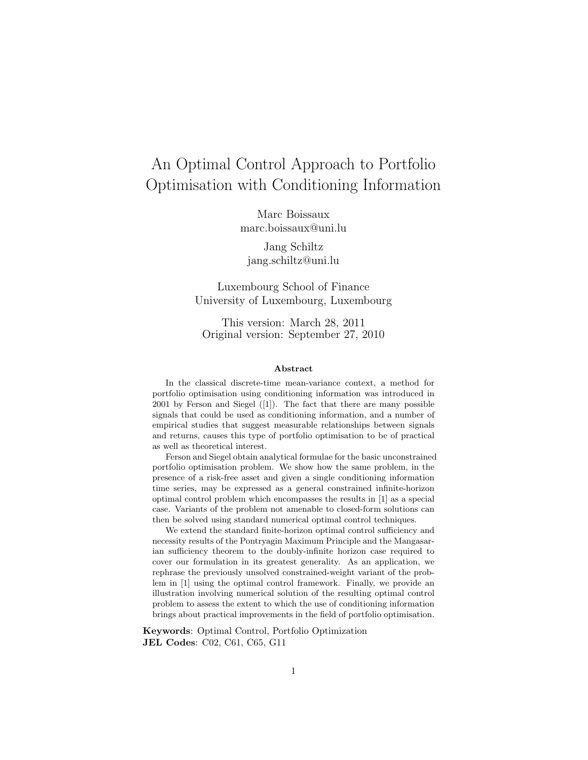# An Optimal Control Approach to Portfolio Optimisation with Conditioning Information

Marc Boissaux marc.boissaux@uni.lu

Jang Schiltz jang.schiltz@uni.lu

Luxembourg School of Finance University of Luxembourg, Luxembourg

This version: March 28, 2011 Original version: September 27, 2010

#### Abstract

In the classical discrete-time mean-variance context, a method for portfolio optimisation using conditioning information was introduced in 2001 by Ferson and Siegel ([1]). The fact that there are many possible signals that could be used as conditioning information, and a number of empirical studies that suggest measurable relationships between signals and returns, causes this type of portfolio optimisation to be of practical as well as theoretical interest.

Ferson and Siegel obtain analytical formulae for the basic unconstrained portfolio optimisation problem. We show how the same problem, in the presence of a risk-free asset and given a single conditioning information time series, may be expressed as a general constrained infinite-horizon optimal control problem which encompasses the results in [1] as a special case. Variants of the problem not amenable to closed-form solutions can then be solved using standard numerical optimal control techniques.

We extend the standard finite-horizon optimal control sufficiency and necessity results of the Pontryagin Maximum Principle and the Mangasarian sufficiency theorem to the doubly-infinite horizon case required to cover our formulation in its greatest generality. As an application, we rephrase the previously unsolved constrained-weight variant of the problem in [1] using the optimal control framework. Finally, we provide an illustration involving numerical solution of the resulting optimal control problem to assess the extent to which the use of conditioning information brings about practical improvements in the field of portfolio optimisation.

Keywords: Optimal Control, Portfolio Optimization JEL Codes: C02, C61, C65, G11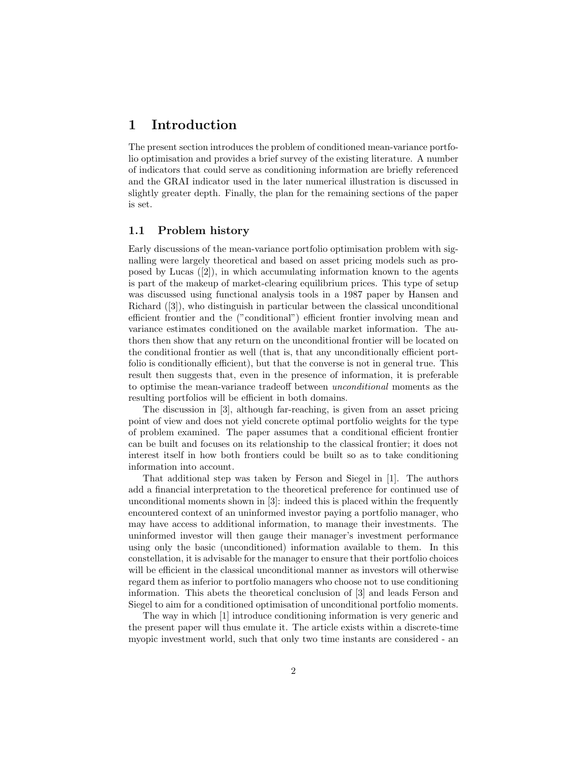### 1 Introduction

The present section introduces the problem of conditioned mean-variance portfolio optimisation and provides a brief survey of the existing literature. A number of indicators that could serve as conditioning information are briefly referenced and the GRAI indicator used in the later numerical illustration is discussed in slightly greater depth. Finally, the plan for the remaining sections of the paper is set.

#### 1.1 Problem history

Early discussions of the mean-variance portfolio optimisation problem with signalling were largely theoretical and based on asset pricing models such as proposed by Lucas ([2]), in which accumulating information known to the agents is part of the makeup of market-clearing equilibrium prices. This type of setup was discussed using functional analysis tools in a 1987 paper by Hansen and Richard ([3]), who distinguish in particular between the classical unconditional efficient frontier and the ("conditional") efficient frontier involving mean and variance estimates conditioned on the available market information. The authors then show that any return on the unconditional frontier will be located on the conditional frontier as well (that is, that any unconditionally efficient portfolio is conditionally efficient), but that the converse is not in general true. This result then suggests that, even in the presence of information, it is preferable to optimise the mean-variance tradeoff between unconditional moments as the resulting portfolios will be efficient in both domains.

The discussion in [3], although far-reaching, is given from an asset pricing point of view and does not yield concrete optimal portfolio weights for the type of problem examined. The paper assumes that a conditional efficient frontier can be built and focuses on its relationship to the classical frontier; it does not interest itself in how both frontiers could be built so as to take conditioning information into account.

That additional step was taken by Ferson and Siegel in [1]. The authors add a financial interpretation to the theoretical preference for continued use of unconditional moments shown in [3]: indeed this is placed within the frequently encountered context of an uninformed investor paying a portfolio manager, who may have access to additional information, to manage their investments. The uninformed investor will then gauge their manager's investment performance using only the basic (unconditioned) information available to them. In this constellation, it is advisable for the manager to ensure that their portfolio choices will be efficient in the classical unconditional manner as investors will otherwise regard them as inferior to portfolio managers who choose not to use conditioning information. This abets the theoretical conclusion of [3] and leads Ferson and Siegel to aim for a conditioned optimisation of unconditional portfolio moments.

The way in which [1] introduce conditioning information is very generic and the present paper will thus emulate it. The article exists within a discrete-time myopic investment world, such that only two time instants are considered - an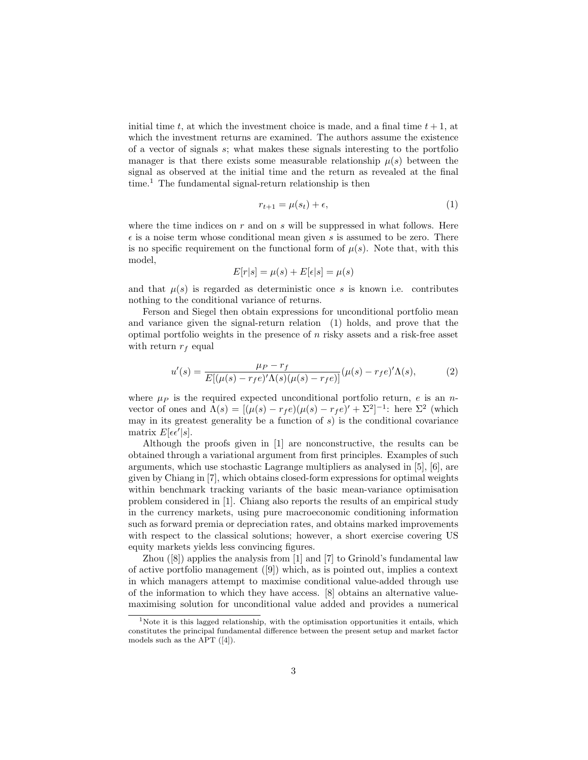initial time t, at which the investment choice is made, and a final time  $t + 1$ , at which the investment returns are examined. The authors assume the existence of a vector of signals  $s$ ; what makes these signals interesting to the portfolio manager is that there exists some measurable relationship  $\mu(s)$  between the signal as observed at the initial time and the return as revealed at the final  $time<sup>1</sup>$ . The fundamental signal-return relationship is then

$$
r_{t+1} = \mu(s_t) + \epsilon,\tag{1}
$$

where the time indices on  $r$  and on  $s$  will be suppressed in what follows. Here  $\epsilon$  is a noise term whose conditional mean given s is assumed to be zero. There is no specific requirement on the functional form of  $\mu(s)$ . Note that, with this model,

$$
E[r|s] = \mu(s) + E[\epsilon|s] = \mu(s)
$$

and that  $\mu(s)$  is regarded as deterministic once s is known i.e. contributes nothing to the conditional variance of returns.

Ferson and Siegel then obtain expressions for unconditional portfolio mean and variance given the signal-return relation (1) holds, and prove that the optimal portfolio weights in the presence of  $n$  risky assets and a risk-free asset with return  $r_f$  equal

$$
u'(s) = \frac{\mu_P - r_f}{E[(\mu(s) - r_f e)'\Lambda(s)(\mu(s) - r_f e)]} (\mu(s) - r_f e)'\Lambda(s), \tag{2}
$$

where  $\mu_P$  is the required expected unconditional portfolio return, e is an nvector of ones and  $\Lambda(s) = [(\mu(s) - r_f e)(\mu(s) - r_f e)' + \Sigma^2]^{-1}$ : here  $\Sigma^2$  (which may in its greatest generality be a function of  $s$ ) is the conditional covariance matrix  $E[\epsilon \epsilon' | s]$ .

Although the proofs given in [1] are nonconstructive, the results can be obtained through a variational argument from first principles. Examples of such arguments, which use stochastic Lagrange multipliers as analysed in [5], [6], are given by Chiang in [7], which obtains closed-form expressions for optimal weights within benchmark tracking variants of the basic mean-variance optimisation problem considered in [1]. Chiang also reports the results of an empirical study in the currency markets, using pure macroeconomic conditioning information such as forward premia or depreciation rates, and obtains marked improvements with respect to the classical solutions; however, a short exercise covering US equity markets yields less convincing figures.

Zhou ([8]) applies the analysis from [1] and [7] to Grinold's fundamental law of active portfolio management  $([9])$  which, as is pointed out, implies a context in which managers attempt to maximise conditional value-added through use of the information to which they have access. [8] obtains an alternative valuemaximising solution for unconditional value added and provides a numerical

<sup>&</sup>lt;sup>1</sup>Note it is this lagged relationship, with the optimisation opportunities it entails, which constitutes the principal fundamental difference between the present setup and market factor models such as the APT ([4]).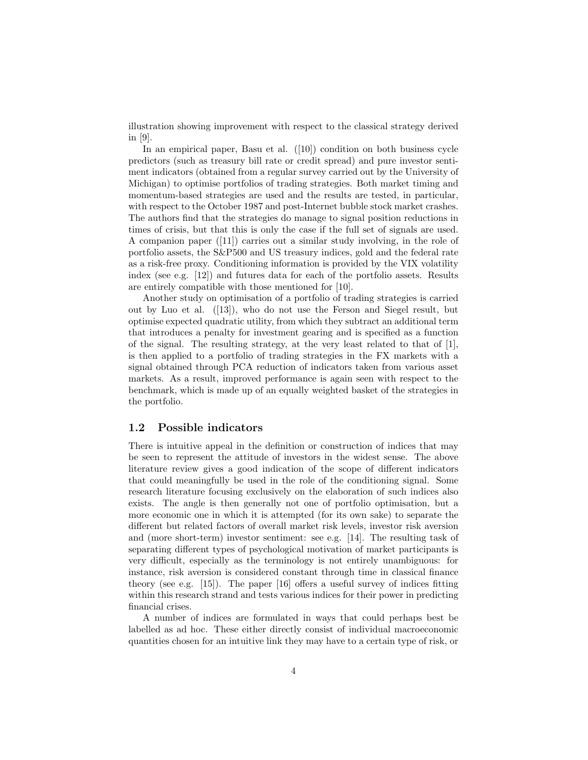illustration showing improvement with respect to the classical strategy derived in [9].

In an empirical paper, Basu et al. ([10]) condition on both business cycle predictors (such as treasury bill rate or credit spread) and pure investor sentiment indicators (obtained from a regular survey carried out by the University of Michigan) to optimise portfolios of trading strategies. Both market timing and momentum-based strategies are used and the results are tested, in particular, with respect to the October 1987 and post-Internet bubble stock market crashes. The authors find that the strategies do manage to signal position reductions in times of crisis, but that this is only the case if the full set of signals are used. A companion paper ([11]) carries out a similar study involving, in the role of portfolio assets, the S&P500 and US treasury indices, gold and the federal rate as a risk-free proxy. Conditioning information is provided by the VIX volatility index (see e.g. [12]) and futures data for each of the portfolio assets. Results are entirely compatible with those mentioned for [10].

Another study on optimisation of a portfolio of trading strategies is carried out by Luo et al. ([13]), who do not use the Ferson and Siegel result, but optimise expected quadratic utility, from which they subtract an additional term that introduces a penalty for investment gearing and is specified as a function of the signal. The resulting strategy, at the very least related to that of  $[1]$ , is then applied to a portfolio of trading strategies in the FX markets with a signal obtained through PCA reduction of indicators taken from various asset markets. As a result, improved performance is again seen with respect to the benchmark, which is made up of an equally weighted basket of the strategies in the portfolio.

#### 1.2 Possible indicators

There is intuitive appeal in the definition or construction of indices that may be seen to represent the attitude of investors in the widest sense. The above literature review gives a good indication of the scope of different indicators that could meaningfully be used in the role of the conditioning signal. Some research literature focusing exclusively on the elaboration of such indices also exists. The angle is then generally not one of portfolio optimisation, but a more economic one in which it is attempted (for its own sake) to separate the different but related factors of overall market risk levels, investor risk aversion and (more short-term) investor sentiment: see e.g. [14]. The resulting task of separating different types of psychological motivation of market participants is very difficult, especially as the terminology is not entirely unambiguous: for instance, risk aversion is considered constant through time in classical finance theory (see e.g. [15]). The paper [16] offers a useful survey of indices fitting within this research strand and tests various indices for their power in predicting financial crises.

A number of indices are formulated in ways that could perhaps best be labelled as ad hoc. These either directly consist of individual macroeconomic quantities chosen for an intuitive link they may have to a certain type of risk, or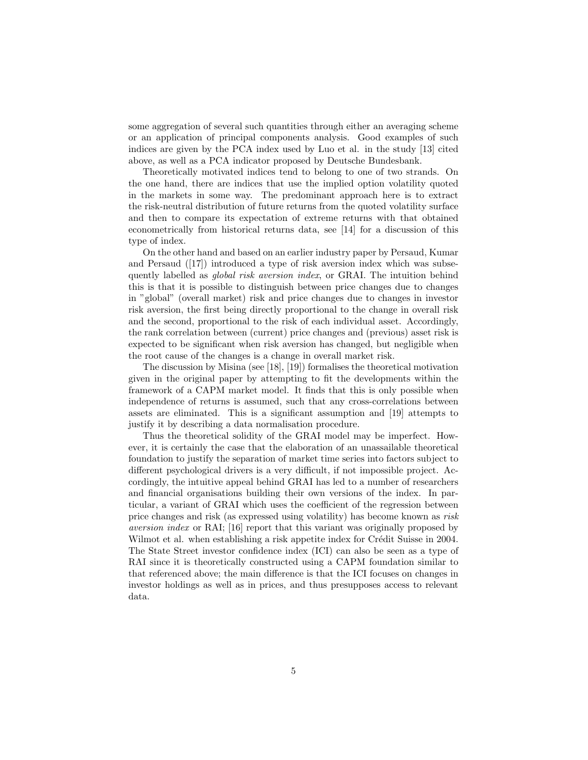some aggregation of several such quantities through either an averaging scheme or an application of principal components analysis. Good examples of such indices are given by the PCA index used by Luo et al. in the study [13] cited above, as well as a PCA indicator proposed by Deutsche Bundesbank.

Theoretically motivated indices tend to belong to one of two strands. On the one hand, there are indices that use the implied option volatility quoted in the markets in some way. The predominant approach here is to extract the risk-neutral distribution of future returns from the quoted volatility surface and then to compare its expectation of extreme returns with that obtained econometrically from historical returns data, see [14] for a discussion of this type of index.

On the other hand and based on an earlier industry paper by Persaud, Kumar and Persaud ([17]) introduced a type of risk aversion index which was subsequently labelled as global risk aversion index, or GRAI. The intuition behind this is that it is possible to distinguish between price changes due to changes in "global" (overall market) risk and price changes due to changes in investor risk aversion, the first being directly proportional to the change in overall risk and the second, proportional to the risk of each individual asset. Accordingly, the rank correlation between (current) price changes and (previous) asset risk is expected to be significant when risk aversion has changed, but negligible when the root cause of the changes is a change in overall market risk.

The discussion by Misina (see [18], [19]) formalises the theoretical motivation given in the original paper by attempting to fit the developments within the framework of a CAPM market model. It finds that this is only possible when independence of returns is assumed, such that any cross-correlations between assets are eliminated. This is a significant assumption and [19] attempts to justify it by describing a data normalisation procedure.

Thus the theoretical solidity of the GRAI model may be imperfect. However, it is certainly the case that the elaboration of an unassailable theoretical foundation to justify the separation of market time series into factors subject to different psychological drivers is a very difficult, if not impossible project. Accordingly, the intuitive appeal behind GRAI has led to a number of researchers and financial organisations building their own versions of the index. In particular, a variant of GRAI which uses the coefficient of the regression between price changes and risk (as expressed using volatility) has become known as risk aversion index or RAI; [16] report that this variant was originally proposed by Wilmot et al. when establishing a risk appetite index for Crédit Suisse in 2004. The State Street investor confidence index (ICI) can also be seen as a type of RAI since it is theoretically constructed using a CAPM foundation similar to that referenced above; the main difference is that the ICI focuses on changes in investor holdings as well as in prices, and thus presupposes access to relevant data.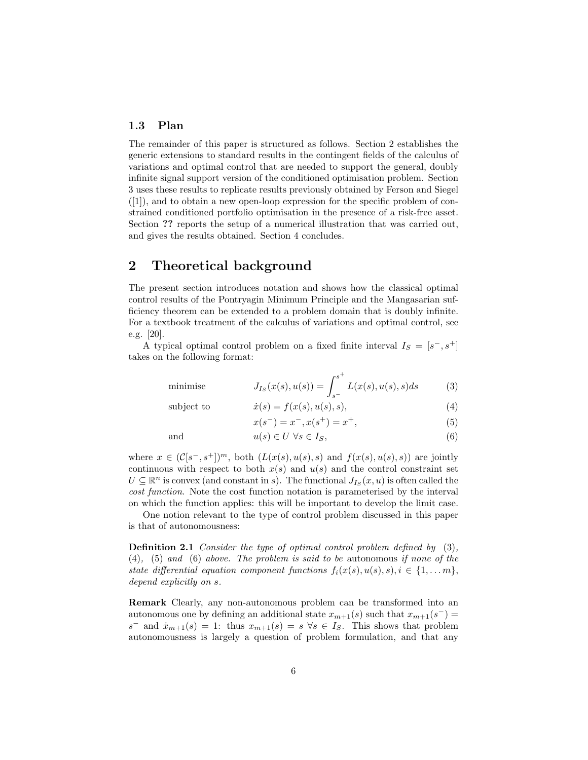### 1.3 Plan

The remainder of this paper is structured as follows. Section 2 establishes the generic extensions to standard results in the contingent fields of the calculus of variations and optimal control that are needed to support the general, doubly infinite signal support version of the conditioned optimisation problem. Section 3 uses these results to replicate results previously obtained by Ferson and Siegel ([1]), and to obtain a new open-loop expression for the specific problem of constrained conditioned portfolio optimisation in the presence of a risk-free asset. Section ?? reports the setup of a numerical illustration that was carried out, and gives the results obtained. Section 4 concludes.

### 2 Theoretical background

The present section introduces notation and shows how the classical optimal control results of the Pontryagin Minimum Principle and the Mangasarian sufficiency theorem can be extended to a problem domain that is doubly infinite. For a textbook treatment of the calculus of variations and optimal control, see e.g. [20].

A typical optimal control problem on a fixed finite interval  $I_S = [s^-, s^+]$ takes on the following format:

minimise 
$$
J_{I_S}(x(s), u(s)) = \int_{s^-}^{s^+} L(x(s), u(s), s) ds
$$
 (3)

subject to 
$$
\dot{x}(s) = f(x(s), u(s), s), \tag{4}
$$

$$
x(s^-) = x^-, x(s^+) = x^+, \tag{5}
$$

and 
$$
u(s) \in U \ \forall s \in I_S,
$$
 (6)

where  $x \in (\mathcal{C}[s^-, s^+])^m$ , both  $(L(x(s), u(s), s))$  and  $f(x(s), u(s), s))$  are jointly continuous with respect to both  $x(s)$  and  $u(s)$  and the control constraint set  $U \subseteq \mathbb{R}^n$  is convex (and constant in s). The functional  $J_{I_S}(x, u)$  is often called the cost function. Note the cost function notation is parameterised by the interval on which the function applies: this will be important to develop the limit case.

One notion relevant to the type of control problem discussed in this paper is that of autonomousness:

Definition 2.1 Consider the type of optimal control problem defined by (3), (4), (5) and (6) above. The problem is said to be autonomous if none of the state differential equation component functions  $f_i(x(s), u(s), s), i \in \{1, \ldots m\},$ depend explicitly on s.

Remark Clearly, any non-autonomous problem can be transformed into an autonomous one by defining an additional state  $x_{m+1}(s)$  such that  $x_{m+1}(s^-) =$  $s^-$  and  $\dot{x}_{m+1}(s) = 1$ : thus  $x_{m+1}(s) = s \,\forall s \in I_s$ . This shows that problem autonomousness is largely a question of problem formulation, and that any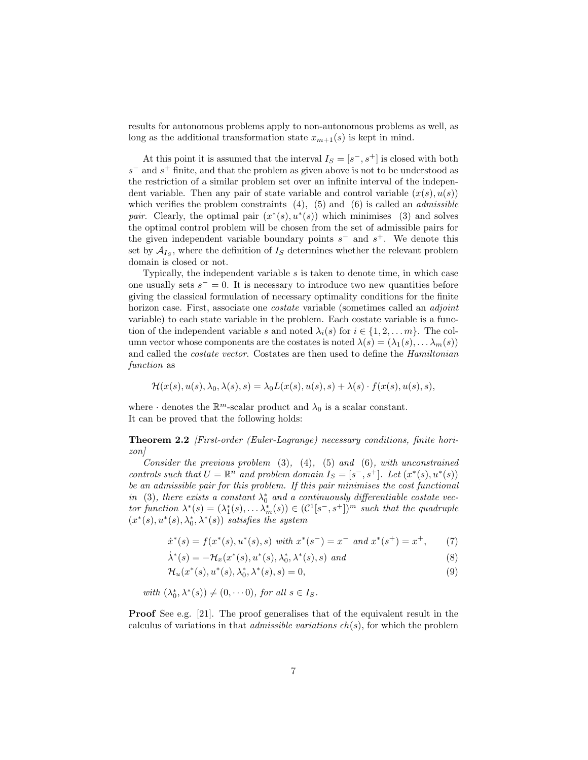results for autonomous problems apply to non-autonomous problems as well, as long as the additional transformation state  $x_{m+1}(s)$  is kept in mind.

At this point it is assumed that the interval  $I_s = [s^-, s^+]$  is closed with both  $s^-$  and  $s^+$  finite, and that the problem as given above is not to be understood as the restriction of a similar problem set over an infinite interval of the independent variable. Then any pair of state variable and control variable  $(x(s), u(s))$ which verifies the problem constraints  $(4)$ ,  $(5)$  and  $(6)$  is called an *admissible* pair. Clearly, the optimal pair  $(x^*(s), u^*(s))$  which minimises (3) and solves the optimal control problem will be chosen from the set of admissible pairs for the given independent variable boundary points  $s^-$  and  $s^+$ . We denote this set by  $A_{I_S}$ , where the definition of  $I_S$  determines whether the relevant problem domain is closed or not.

Typically, the independent variable s is taken to denote time, in which case one usually sets  $s^- = 0$ . It is necessary to introduce two new quantities before giving the classical formulation of necessary optimality conditions for the finite horizon case. First, associate one *costate* variable (sometimes called an *adjoint* variable) to each state variable in the problem. Each costate variable is a function of the independent variable s and noted  $\lambda_i(s)$  for  $i \in \{1, 2, \ldots m\}$ . The column vector whose components are the costates is noted  $\lambda(s) = (\lambda_1(s), \dots \lambda_m(s))$ and called the costate vector. Costates are then used to define the Hamiltonian function as

$$
\mathcal{H}(x(s), u(s), \lambda_0, \lambda(s), s) = \lambda_0 L(x(s), u(s), s) + \lambda(s) \cdot f(x(s), u(s), s),
$$

where  $\cdot$  denotes the  $\mathbb{R}^m$ -scalar product and  $\lambda_0$  is a scalar constant. It can be proved that the following holds:

Theorem 2.2 [First-order (Euler-Lagrange) necessary conditions, finite horizon]

Consider the previous problem  $(3)$ ,  $(4)$ ,  $(5)$  and  $(6)$ , with unconstrained controls such that  $U = \mathbb{R}^n$  and problem domain  $I_S = [s^-, s^+]$ . Let  $(x^*(s), u^*(s))$ be an admissible pair for this problem. If this pair minimises the cost functional in (3), there exists a constant  $\lambda_0^*$  and a continuously differentiable costate vector function  $\lambda^*(s) = (\lambda_1^*(s), \dots \lambda_m^*(s)) \in (\mathcal{C}^1[s^-, s^+])^m$  such that the quadruple  $(x^*(s), u^*(s), \lambda_0^*, \lambda^*(s))$  satisfies the system

$$
\dot{x}^*(s) = f(x^*(s), u^*(s), s) \text{ with } x^*(s^-) = x^- \text{ and } x^*(s^+) = x^+, \qquad (7)
$$

$$
\dot{\lambda}^*(s) = -\mathcal{H}_x(x^*(s), u^*(s), \lambda_0^*, \lambda^*(s), s) \text{ and } (8)
$$

$$
\mathcal{H}_u(x^*(s), u^*(s), \lambda_0^*, \lambda^*(s), s) = 0,
$$
\n(9)

with  $(\lambda_0^*, \lambda^*(s)) \neq (0, \cdots 0)$ , for all  $s \in I_S$ .

Proof See e.g. [21]. The proof generalises that of the equivalent result in the calculus of variations in that *admissible variations*  $\epsilon h(s)$ , for which the problem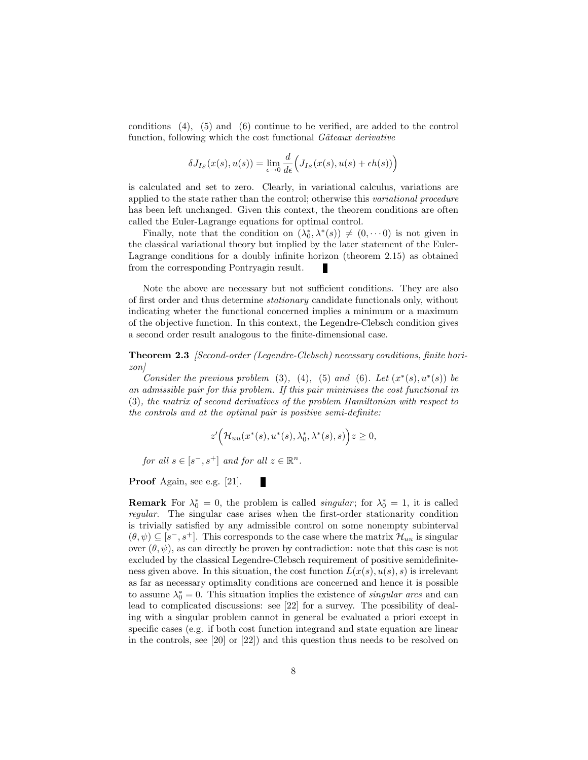conditions (4), (5) and (6) continue to be verified, are added to the control function, following which the cost functional *Gâteaux derivative* 

$$
\delta J_{I_S}(x(s), u(s)) = \lim_{\epsilon \to 0} \frac{d}{d\epsilon} \Big( J_{I_S}(x(s), u(s) + \epsilon h(s)) \Big)
$$

is calculated and set to zero. Clearly, in variational calculus, variations are applied to the state rather than the control; otherwise this variational procedure has been left unchanged. Given this context, the theorem conditions are often called the Euler-Lagrange equations for optimal control.

Finally, note that the condition on  $(\lambda_0^*, \lambda^*(s)) \neq (0, \dots 0)$  is not given in the classical variational theory but implied by the later statement of the Euler-Lagrange conditions for a doubly infinite horizon (theorem 2.15) as obtained from the corresponding Pontryagin result.

Note the above are necessary but not sufficient conditions. They are also of first order and thus determine stationary candidate functionals only, without indicating wheter the functional concerned implies a minimum or a maximum of the objective function. In this context, the Legendre-Clebsch condition gives a second order result analogous to the finite-dimensional case.

**Theorem 2.3** [Second-order (Legendre-Clebsch) necessary conditions, finite horizon]

Consider the previous problem (3), (4), (5) and (6). Let  $(x^*(s), u^*(s))$  be an admissible pair for this problem. If this pair minimises the cost functional in (3), the matrix of second derivatives of the problem Hamiltonian with respect to the controls and at the optimal pair is positive semi-definite:

$$
z'\Big(\mathcal{H}_{uu}(x^*(s),u^*(s),\lambda_0^*,\lambda^*(s),s)\Big)z\geq 0,
$$

for all  $s \in [s^-, s^+]$  and for all  $z \in \mathbb{R}^n$ .

Proof Again, see e.g. [21]. П

**Remark** For  $\lambda_0^* = 0$ , the problem is called *singular*; for  $\lambda_0^* = 1$ , it is called regular. The singular case arises when the first-order stationarity condition is trivially satisfied by any admissible control on some nonempty subinterval  $(\theta, \psi) \subseteq [s^-, s^+]$ . This corresponds to the case where the matrix  $\mathcal{H}_{uu}$  is singular over  $(\theta, \psi)$ , as can directly be proven by contradiction: note that this case is not excluded by the classical Legendre-Clebsch requirement of positive semidefiniteness given above. In this situation, the cost function  $L(x(s), u(s), s)$  is irrelevant as far as necessary optimality conditions are concerned and hence it is possible to assume  $\lambda_0^* = 0$ . This situation implies the existence of *singular arcs* and can lead to complicated discussions: see [22] for a survey. The possibility of dealing with a singular problem cannot in general be evaluated a priori except in specific cases (e.g. if both cost function integrand and state equation are linear in the controls, see [20] or [22]) and this question thus needs to be resolved on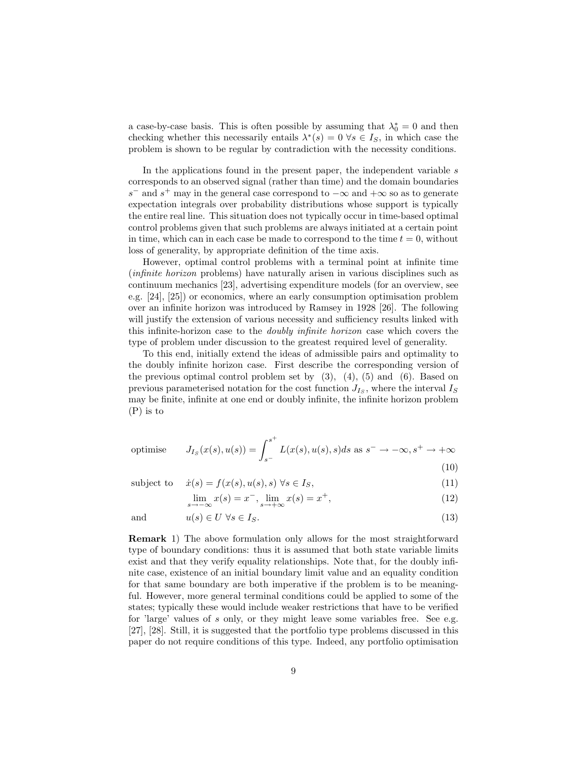a case-by-case basis. This is often possible by assuming that  $\lambda_0^* = 0$  and then checking whether this necessarily entails  $\lambda^*(s) = 0 \,\forall s \in I_S$ , in which case the problem is shown to be regular by contradiction with the necessity conditions.

In the applications found in the present paper, the independent variable s corresponds to an observed signal (rather than time) and the domain boundaries s<sup>-</sup> and s<sup>+</sup> may in the general case correspond to  $-\infty$  and  $+\infty$  so as to generate expectation integrals over probability distributions whose support is typically the entire real line. This situation does not typically occur in time-based optimal control problems given that such problems are always initiated at a certain point in time, which can in each case be made to correspond to the time  $t = 0$ , without loss of generality, by appropriate definition of the time axis.

However, optimal control problems with a terminal point at infinite time (infinite horizon problems) have naturally arisen in various disciplines such as continuum mechanics [23], advertising expenditure models (for an overview, see e.g. [24], [25]) or economics, where an early consumption optimisation problem over an infinite horizon was introduced by Ramsey in 1928 [26]. The following will justify the extension of various necessity and sufficiency results linked with this infinite-horizon case to the doubly infinite horizon case which covers the type of problem under discussion to the greatest required level of generality.

To this end, initially extend the ideas of admissible pairs and optimality to the doubly infinite horizon case. First describe the corresponding version of the previous optimal control problem set by  $(3)$ ,  $(4)$ ,  $(5)$  and  $(6)$ . Based on previous parameterised notation for the cost function  $J_{I_S}$ , where the interval  $I_S$ may be finite, infinite at one end or doubly infinite, the infinite horizon problem (P) is to

$$
\text{optimise} \qquad J_{Is}(x(s), u(s)) = \int_{s^-}^{s^+} L(x(s), u(s), s) ds \text{ as } s^- \to -\infty, s^+ \to +\infty
$$
\n
$$
(10)
$$

(10)

subject to 
$$
\dot{x}(s) = f(x(s), u(s), s) \,\forall s \in I_s,
$$
\n(11)

$$
\lim_{s \to -\infty} x(s) = x^-, \lim_{s \to +\infty} x(s) = x^+, \tag{12}
$$

and 
$$
u(s) \in U \ \forall s \in I_S.
$$
 (13)

Remark 1) The above formulation only allows for the most straightforward type of boundary conditions: thus it is assumed that both state variable limits exist and that they verify equality relationships. Note that, for the doubly infinite case, existence of an initial boundary limit value and an equality condition for that same boundary are both imperative if the problem is to be meaningful. However, more general terminal conditions could be applied to some of the states; typically these would include weaker restrictions that have to be verified for 'large' values of s only, or they might leave some variables free. See e.g. [27], [28]. Still, it is suggested that the portfolio type problems discussed in this paper do not require conditions of this type. Indeed, any portfolio optimisation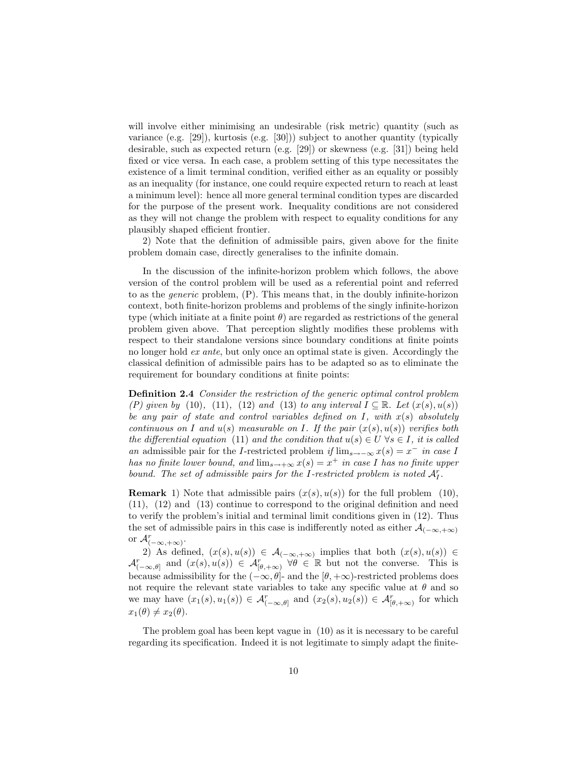will involve either minimising an undesirable (risk metric) quantity (such as variance (e.g. [29]), kurtosis (e.g. [30])) subject to another quantity (typically desirable, such as expected return (e.g. [29]) or skewness (e.g. [31]) being held fixed or vice versa. In each case, a problem setting of this type necessitates the existence of a limit terminal condition, verified either as an equality or possibly as an inequality (for instance, one could require expected return to reach at least a minimum level): hence all more general terminal condition types are discarded for the purpose of the present work. Inequality conditions are not considered as they will not change the problem with respect to equality conditions for any plausibly shaped efficient frontier.

2) Note that the definition of admissible pairs, given above for the finite problem domain case, directly generalises to the infinite domain.

In the discussion of the infinite-horizon problem which follows, the above version of the control problem will be used as a referential point and referred to as the generic problem, (P). This means that, in the doubly infinite-horizon context, both finite-horizon problems and problems of the singly infinite-horizon type (which initiate at a finite point  $\theta$ ) are regarded as restrictions of the general problem given above. That perception slightly modifies these problems with respect to their standalone versions since boundary conditions at finite points no longer hold ex ante, but only once an optimal state is given. Accordingly the classical definition of admissible pairs has to be adapted so as to eliminate the requirement for boundary conditions at finite points:

Definition 2.4 Consider the restriction of the generic optimal control problem (P) given by (10), (11), (12) and (13) to any interval  $I \subseteq \mathbb{R}$ . Let  $(x(s), u(s))$ be any pair of state and control variables defined on  $I$ , with  $x(s)$  absolutely continuous on I and  $u(s)$  measurable on I. If the pair  $(x(s), u(s))$  verifies both the differential equation (11) and the condition that  $u(s) \in U \forall s \in I$ , it is called an admissible pair for the I-restricted problem if  $\lim_{s\to -\infty} x(s) = x^{-}$  in case I has no finite lower bound, and  $\lim_{s\to\infty} x(s) = x^+$  in case I has no finite upper bound. The set of admissible pairs for the I-restricted problem is noted  $A_I^r$ .

**Remark** 1) Note that admissible pairs  $(x(s), u(s))$  for the full problem (10), (11), (12) and (13) continue to correspond to the original definition and need to verify the problem's initial and terminal limit conditions given in (12). Thus the set of admissible pairs in this case is indifferently noted as either  $\mathcal{A}_{(-\infty, +\infty)}$ or  $\mathcal{A}_{(-\infty,+\infty)}^r$ .

2) As defined,  $(x(s), u(s)) \in \mathcal{A}_{(-\infty, +\infty)}$  implies that both  $(x(s), u(s)) \in$  $\mathcal{A}_{(-\infty,\theta]}^r$  and  $(x(s),u(s)) \in \mathcal{A}_{[\theta,+\infty]}^r$   $\forall \theta \in \mathbb{R}$  but not the converse. This is because admissibility for the  $(-\infty, \theta]$ - and the  $[\theta, +\infty)$ -restricted problems does not require the relevant state variables to take any specific value at  $\theta$  and so we may have  $(x_1(s), u_1(s)) \in \mathcal{A}_{(-\infty,\theta]}^r$  and  $(x_2(s), u_2(s)) \in \mathcal{A}_{[\theta,+\infty]}^r$  for which  $x_1(\theta) \neq x_2(\theta)$ .

The problem goal has been kept vague in (10) as it is necessary to be careful regarding its specification. Indeed it is not legitimate to simply adapt the finite-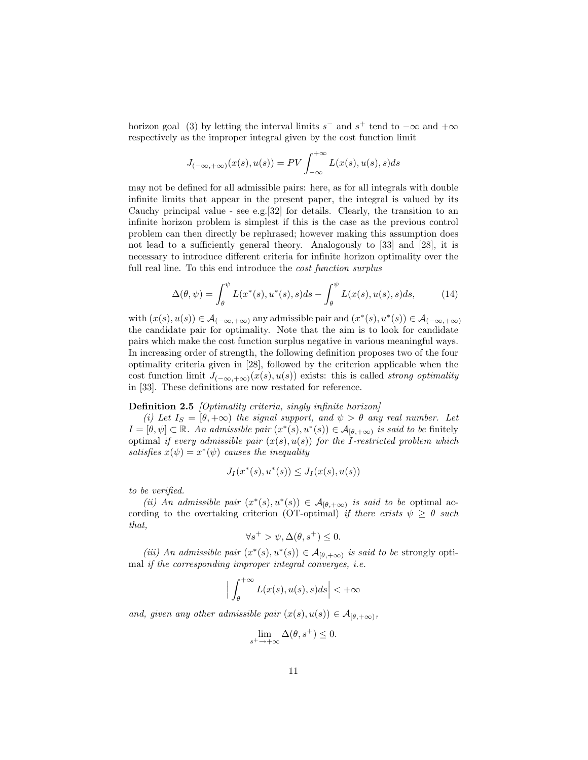horizon goal (3) by letting the interval limits  $s^-$  and  $s^+$  tend to  $-\infty$  and  $+\infty$ respectively as the improper integral given by the cost function limit

$$
J_{(-\infty, +\infty)}(x(s), u(s)) = PV \int_{-\infty}^{+\infty} L(x(s), u(s), s) ds
$$

may not be defined for all admissible pairs: here, as for all integrals with double infinite limits that appear in the present paper, the integral is valued by its Cauchy principal value - see e.g.[32] for details. Clearly, the transition to an infinite horizon problem is simplest if this is the case as the previous control problem can then directly be rephrased; however making this assumption does not lead to a sufficiently general theory. Analogously to [33] and [28], it is necessary to introduce different criteria for infinite horizon optimality over the full real line. To this end introduce the *cost function surplus* 

$$
\Delta(\theta, \psi) = \int_{\theta}^{\psi} L(x^*(s), u^*(s), s) ds - \int_{\theta}^{\psi} L(x(s), u(s), s) ds, \tag{14}
$$

with  $(x(s), u(s)) \in \mathcal{A}_{(-\infty, +\infty)}$  any admissible pair and  $(x^*(s), u^*(s)) \in \mathcal{A}_{(-\infty, +\infty)}$ the candidate pair for optimality. Note that the aim is to look for candidate pairs which make the cost function surplus negative in various meaningful ways. In increasing order of strength, the following definition proposes two of the four optimality criteria given in [28], followed by the criterion applicable when the cost function limit  $J_{(-\infty, +\infty)}(x(s), u(s))$  exists: this is called *strong optimality* in [33]. These definitions are now restated for reference.

#### Definition 2.5 *[Optimality criteria, singly infinite horizon]*

(i) Let  $I_s = [\theta, +\infty)$  the signal support, and  $\psi > \theta$  any real number. Let  $I = [\theta, \psi] \subset \mathbb{R}$ . An admissible pair  $(x^*(s), u^*(s)) \in \mathcal{A}_{[\theta, +\infty)}$  is said to be finitely optimal if every admissible pair  $(x(s), u(s))$  for the I-restricted problem which satisfies  $x(\psi) = x^*(\psi)$  causes the inequality

$$
J_I(x^*(s), u^*(s)) \le J_I(x(s), u(s))
$$

to be verified.

(ii) An admissible pair  $(x^*(s), u^*(s)) \in \mathcal{A}_{[\theta, +\infty)}$  is said to be optimal according to the overtaking criterion (OT-optimal) if there exists  $\psi \geq \theta$  such that,

$$
\forall s^+ > \psi, \Delta(\theta, s^+) \le 0.
$$

(iii) An admissible pair  $(x^*(s), u^*(s)) \in \mathcal{A}_{[\theta, +\infty)}$  is said to be strongly optimal if the corresponding improper integral converges, i.e.

$$
\Big|\int_{\theta}^{+\infty} L(x(s),u(s),s)ds\Big| < +\infty
$$

and, given any other admissible pair  $(x(s), u(s)) \in A_{\lbrack \theta, +\infty)},$ 

$$
\lim_{s^+ \to +\infty} \Delta(\theta, s^+) \le 0.
$$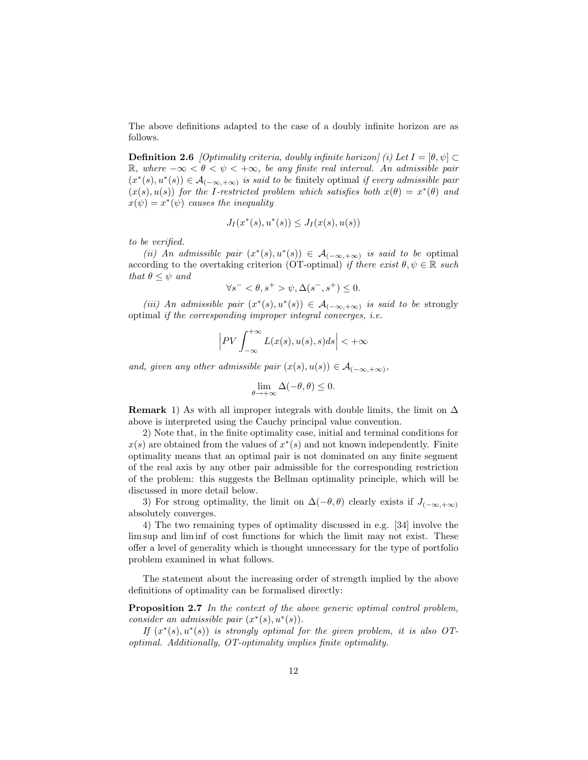The above definitions adapted to the case of a doubly infinite horizon are as follows.

**Definition 2.6** [Optimality criteria, doubly infinite horizon] (i) Let  $I = [\theta, \psi]$ R, where  $-\infty < \theta < \psi < +\infty$ , be any finite real interval. An admissible pair  $(x^*(s), u^*(s)) \in \mathcal{A}_{(-\infty, +\infty)}$  is said to be finitely optimal if every admissible pair  $(x(s), u(s))$  for the I-restricted problem which satisfies both  $x(\theta) = x^*(\theta)$  and  $x(\psi) = x^*(\psi)$  causes the inequality

$$
J_I(x^*(s), u^*(s)) \le J_I(x(s), u(s))
$$

to be verified.

(ii) An admissible pair  $(x^*(s), u^*(s)) \in \mathcal{A}_{(-\infty, +\infty)}$  is said to be optimal according to the overtaking criterion (OT-optimal) if there exist  $\theta, \psi \in \mathbb{R}$  such that  $\theta \leq \psi$  and

$$
\forall s^- < \theta, s^+ > \psi, \Delta(s^-, s^+) \le 0.
$$

(iii) An admissible pair  $(x^*(s), u^*(s)) \in \mathcal{A}_{(-\infty, +\infty)}$  is said to be strongly optimal if the corresponding improper integral converges, i.e.

$$
\left| PV \int_{-\infty}^{+\infty} L(x(s), u(s), s) ds \right| < +\infty
$$

and, given any other admissible pair  $(x(s), u(s)) \in A_{(-\infty, +\infty)}$ ,

$$
\lim_{\theta \to +\infty} \Delta(-\theta, \theta) \le 0.
$$

**Remark** 1) As with all improper integrals with double limits, the limit on  $\Delta$ above is interpreted using the Cauchy principal value convention.

2) Note that, in the finite optimality case, initial and terminal conditions for  $x(s)$  are obtained from the values of  $x^*(s)$  and not known independently. Finite optimality means that an optimal pair is not dominated on any finite segment of the real axis by any other pair admissible for the corresponding restriction of the problem: this suggests the Bellman optimality principle, which will be discussed in more detail below.

3) For strong optimality, the limit on  $\Delta(-\theta, \theta)$  clearly exists if  $J_{(-\infty, +\infty)}$ absolutely converges.

4) The two remaining types of optimality discussed in e.g. [34] involve the lim sup and lim inf of cost functions for which the limit may not exist. These offer a level of generality which is thought unnecessary for the type of portfolio problem examined in what follows.

The statement about the increasing order of strength implied by the above definitions of optimality can be formalised directly:

Proposition 2.7 In the context of the above generic optimal control problem, consider an admissible pair  $(x^*(s), u^*(s))$ .

If  $(x^*(s), u^*(s))$  is strongly optimal for the given problem, it is also OToptimal. Additionally, OT-optimality implies finite optimality.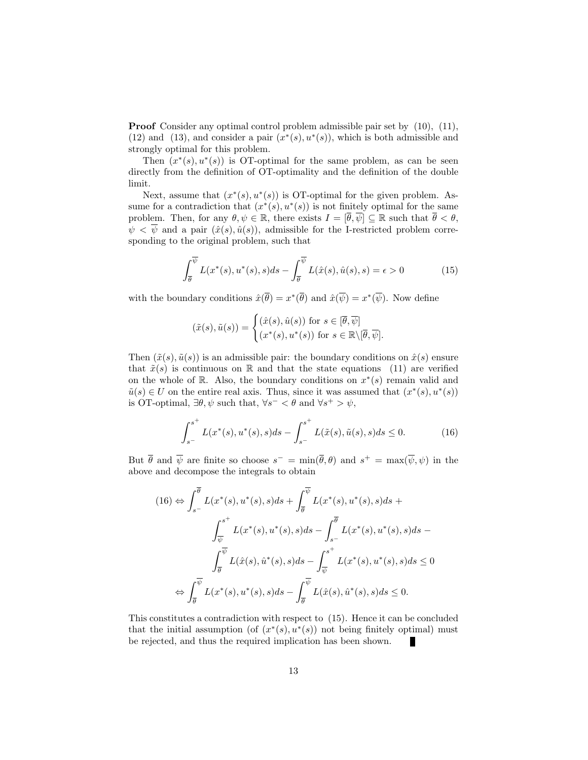Proof Consider any optimal control problem admissible pair set by (10), (11), (12) and (13), and consider a pair  $(x^*(s), u^*(s))$ , which is both admissible and strongly optimal for this problem.

Then  $(x^*(s), u^*(s))$  is OT-optimal for the same problem, as can be seen directly from the definition of OT-optimality and the definition of the double limit.

Next, assume that  $(x^*(s), u^*(s))$  is OT-optimal for the given problem. Assume for a contradiction that  $(x^*(s), u^*(s))$  is not finitely optimal for the same problem. Then, for any  $\theta, \psi \in \mathbb{R}$ , there exists  $I = [\overline{\theta}, \overline{\psi}] \subseteq \mathbb{R}$  such that  $\overline{\theta} < \theta$ ,  $\psi < \overline{\psi}$  and a pair  $(\hat{x}(s), \hat{u}(s))$ , admissible for the I-restricted problem corresponding to the original problem, such that

$$
\int_{\overline{\theta}}^{\overline{\psi}} L(x^*(s), u^*(s), s) ds - \int_{\overline{\theta}}^{\overline{\psi}} L(\hat{x}(s), \hat{u}(s), s) = \epsilon > 0
$$
 (15)

with the boundary conditions  $\hat{x}(\overline{\theta}) = x^*(\overline{\theta})$  and  $\hat{x}(\overline{\psi}) = x^*(\overline{\psi})$ . Now define

$$
(\tilde{x}(s), \tilde{u}(s)) = \begin{cases} (\hat{x}(s), \hat{u}(s)) \text{ for } s \in [\overline{\theta}, \overline{\psi}] \\ (x^*(s), u^*(s)) \text{ for } s \in \mathbb{R} \setminus [\overline{\theta}, \overline{\psi}]. \end{cases}
$$

Then  $(\tilde{x}(s), \tilde{u}(s))$  is an admissible pair: the boundary conditions on  $\hat{x}(s)$  ensure that  $\tilde{x}(s)$  is continuous on R and that the state equations (11) are verified on the whole of R. Also, the boundary conditions on  $x^*(s)$  remain valid and  $\tilde{u}(s) \in U$  on the entire real axis. Thus, since it was assumed that  $(x^*(s), u^*(s))$ is OT-optimal,  $\exists \theta, \psi$  such that,  $\forall s^- < \theta$  and  $\forall s^+ > \psi$ ,

$$
\int_{s^-}^{s^+} L(x^*(s), u^*(s), s)ds - \int_{s^-}^{s^+} L(\tilde{x}(s), \tilde{u}(s), s)ds \le 0.
$$
 (16)

But  $\bar{\theta}$  and  $\bar{\psi}$  are finite so choose  $s^- = \min(\bar{\theta}, \theta)$  and  $s^+ = \max(\bar{\psi}, \psi)$  in the above and decompose the integrals to obtain

$$
(16) \Leftrightarrow \int_{s^{-}}^{\overline{\theta}} L(x^*(s), u^*(s), s) ds + \int_{\overline{\theta}}^{\overline{\psi}} L(x^*(s), u^*(s), s) ds +
$$
  

$$
\int_{\overline{\psi}}^{s^+} L(x^*(s), u^*(s), s) ds - \int_{s^{-}}^{\overline{\theta}} L(x^*(s), u^*(s), s) ds -
$$
  

$$
\int_{\overline{\theta}}^{\overline{\psi}} L(\hat{x}(s), \hat{u}^*(s), s) ds - \int_{\overline{\psi}}^{s^+} L(x^*(s), u^*(s), s) ds \le 0
$$
  

$$
\Leftrightarrow \int_{\overline{\theta}}^{\overline{\psi}} L(x^*(s), u^*(s), s) ds - \int_{\overline{\theta}}^{\overline{\psi}} L(\hat{x}(s), \hat{u}^*(s), s) ds \le 0.
$$

This constitutes a contradiction with respect to (15). Hence it can be concluded that the initial assumption (of  $(x^*(s), u^*(s))$  not being finitely optimal) must be rejected, and thus the required implication has been shown.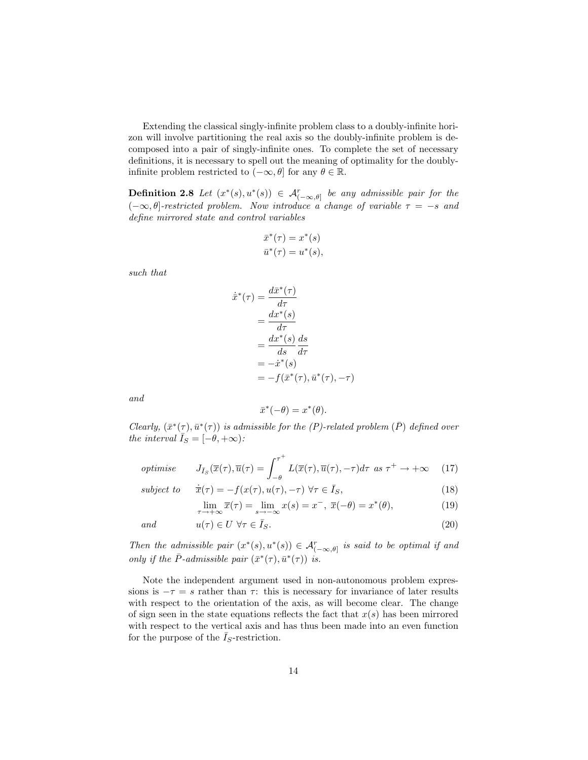Extending the classical singly-infinite problem class to a doubly-infinite horizon will involve partitioning the real axis so the doubly-infinite problem is decomposed into a pair of singly-infinite ones. To complete the set of necessary definitions, it is necessary to spell out the meaning of optimality for the doublyinfinite problem restricted to  $(-\infty, \theta]$  for any  $\theta \in \mathbb{R}$ .

**Definition 2.8** Let  $(x^*(s), u^*(s)) \in \mathcal{A}_{(-\infty,\theta]}^r$  be any admissible pair for the  $(-\infty, \theta]$ -restricted problem. Now introduce a change of variable  $\tau = -s$  and define mirrored state and control variables

$$
\bar{x}^*(\tau) = x^*(s)
$$
  

$$
\bar{u}^*(\tau) = u^*(s),
$$

such that

$$
\dot{\bar{x}}^*(\tau) = \frac{d\bar{x}^*(\tau)}{d\tau} \n= \frac{dx^*(s)}{d\tau} \n= \frac{dx^*(s)}{ds} \frac{ds}{d\tau} \n= -\dot{x}^*(s) \n= -f(\bar{x}^*(\tau), \bar{u}^*(\tau), -\tau)
$$

and

$$
\bar{x}^*(-\theta) = x^*(\theta).
$$

Clearly,  $(\bar{x}^*(\tau), \bar{u}^*(\tau))$  is admissible for the (P)-related problem ( $\bar{P}$ ) defined over the interval  $\bar{I}_S = [-\theta, +\infty)$ :

*optimise* 
$$
J_{\bar{I}_S}(\bar{x}(\tau), \bar{u}(\tau) = \int_{-\theta}^{\tau^+} L(\bar{x}(\tau), \bar{u}(\tau), -\tau) d\tau \text{ as } \tau^+ \to +\infty
$$
 (17)

subject to 
$$
\dot{\overline{x}}(\tau) = -f(x(\tau), u(\tau), -\tau) \,\forall \tau \in \overline{I}_S,
$$
 (18)

 $\lim_{\tau \to +\infty} \overline{x}(\tau) = \lim_{s \to -\infty} x(s) = x^-, \ \overline{x}(-\theta) = x^*$  $(19)$ 

$$
and \t u(\tau) \in U \,\,\forall \tau \in \bar{I}_S. \t (20)
$$

Then the admissible pair  $(x^*(s), u^*(s)) \in \mathcal{A}_{(-\infty,\theta]}^r$  is said to be optimal if and only if the  $\bar{P}$ -admissible pair  $(\bar{x}^*(\tau), \bar{u}^*(\tau))$  is.

Note the independent argument used in non-autonomous problem expressions is  $-\tau = s$  rather than  $\tau$ : this is necessary for invariance of later results with respect to the orientation of the axis, as will become clear. The change of sign seen in the state equations reflects the fact that  $x(s)$  has been mirrored with respect to the vertical axis and has thus been made into an even function for the purpose of the  $\bar{I}_S$ -restriction.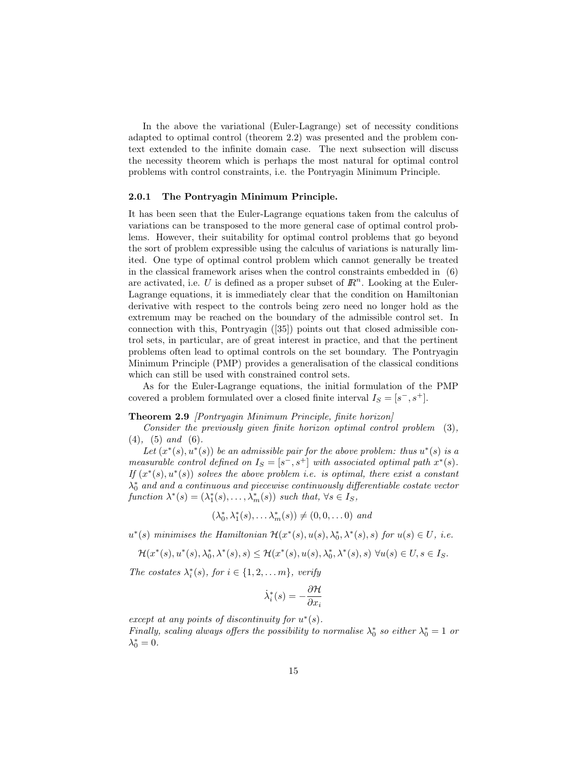In the above the variational (Euler-Lagrange) set of necessity conditions adapted to optimal control (theorem 2.2) was presented and the problem context extended to the infinite domain case. The next subsection will discuss the necessity theorem which is perhaps the most natural for optimal control problems with control constraints, i.e. the Pontryagin Minimum Principle.

#### 2.0.1 The Pontryagin Minimum Principle.

It has been seen that the Euler-Lagrange equations taken from the calculus of variations can be transposed to the more general case of optimal control problems. However, their suitability for optimal control problems that go beyond the sort of problem expressible using the calculus of variations is naturally limited. One type of optimal control problem which cannot generally be treated in the classical framework arises when the control constraints embedded in (6) are activated, i.e. U is defined as a proper subset of  $\mathbb{R}^n$ . Looking at the Euler-Lagrange equations, it is immediately clear that the condition on Hamiltonian derivative with respect to the controls being zero need no longer hold as the extremum may be reached on the boundary of the admissible control set. In connection with this, Pontryagin ([35]) points out that closed admissible control sets, in particular, are of great interest in practice, and that the pertinent problems often lead to optimal controls on the set boundary. The Pontryagin Minimum Principle (PMP) provides a generalisation of the classical conditions which can still be used with constrained control sets.

As for the Euler-Lagrange equations, the initial formulation of the PMP covered a problem formulated over a closed finite interval  $I_S = [s^-, s^+]$ .

#### Theorem 2.9 *[Pontryagin Minimum Principle, finite horizon]*

Consider the previously given finite horizon optimal control problem (3),  $(4)$ ,  $(5)$  and  $(6)$ .

Let  $(x^*(s), u^*(s))$  be an admissible pair for the above problem: thus  $u^*(s)$  is a measurable control defined on  $I_S = [s^-, s^+]$  with associated optimal path  $x^*(s)$ . If  $(x^*(s), u^*(s))$  solves the above problem i.e. is optimal, there exist a constant  $\lambda_0^*$  and and a continuous and piecewise continuously differentiable costate vector function  $\lambda^*(s) = (\lambda_1^*(s), \dots, \lambda_m^*(s))$  such that,  $\forall s \in I_s$ ,

$$
(\lambda_0^*, \lambda_1^*(s), \ldots \lambda_m^*(s)) \neq (0, 0, \ldots 0) \text{ and }
$$

 $u^*(s)$  minimises the Hamiltonian  $\mathcal{H}(x^*(s), u(s), \lambda_0^*, \lambda^*(s), s)$  for  $u(s) \in U$ , i.e.

$$
\mathcal{H}(x^*(s),u^*(s),\lambda_0^*,\lambda^*(s),s) \leq \mathcal{H}(x^*(s),u(s),\lambda_0^*,\lambda^*(s),s) \,\,\forall u(s) \in U, s \in I_S.
$$

The costates  $\lambda_i^*(s)$ , for  $i \in \{1, 2, \ldots m\}$ , verify

$$
\dot{\lambda}_i^*(s) = -\frac{\partial \mathcal{H}}{\partial x_i}
$$

except at any points of discontinuity for  $u^*(s)$ . Finally, scaling always offers the possibility to normalise  $\lambda_0^*$  so either  $\lambda_0^* = 1$  or

 $\lambda_0^* = 0.$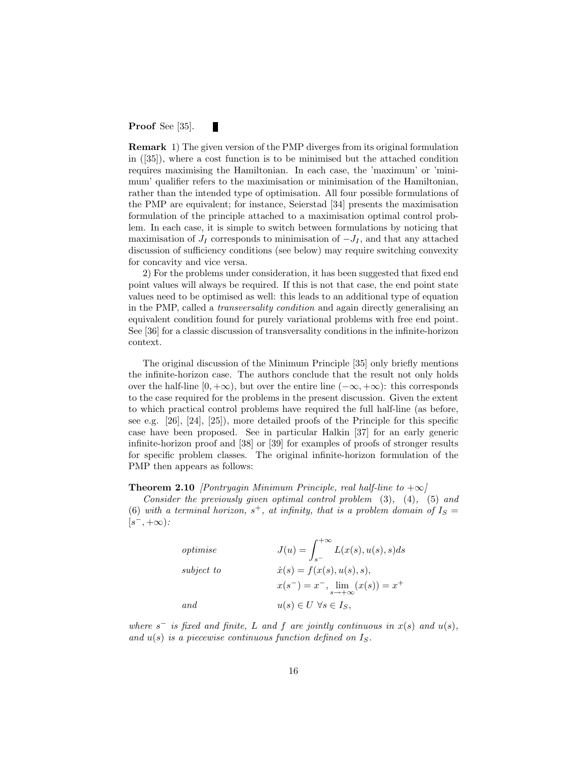#### Proof See [35]. П

Remark 1) The given version of the PMP diverges from its original formulation in ([35]), where a cost function is to be minimised but the attached condition requires maximising the Hamiltonian. In each case, the 'maximum' or 'minimum' qualifier refers to the maximisation or minimisation of the Hamiltonian, rather than the intended type of optimisation. All four possible formulations of the PMP are equivalent; for instance, Seierstad [34] presents the maximisation formulation of the principle attached to a maximisation optimal control problem. In each case, it is simple to switch between formulations by noticing that maximisation of  $J_I$  corresponds to minimisation of  $-J_I$ , and that any attached discussion of sufficiency conditions (see below) may require switching convexity for concavity and vice versa.

2) For the problems under consideration, it has been suggested that fixed end point values will always be required. If this is not that case, the end point state values need to be optimised as well: this leads to an additional type of equation in the PMP, called a transversality condition and again directly generalising an equivalent condition found for purely variational problems with free end point. See [36] for a classic discussion of transversality conditions in the infinite-horizon context.

The original discussion of the Minimum Principle [35] only briefly mentions the infinite-horizon case. The authors conclude that the result not only holds over the half-line  $[0, +\infty)$ , but over the entire line  $(-\infty, +\infty)$ : this corresponds to the case required for the problems in the present discussion. Given the extent to which practical control problems have required the full half-line (as before, see e.g. [26], [24], [25]), more detailed proofs of the Principle for this specific case have been proposed. See in particular Halkin [37] for an early generic infinite-horizon proof and [38] or [39] for examples of proofs of stronger results for specific problem classes. The original infinite-horizon formulation of the PMP then appears as follows:

#### **Theorem 2.10** [Pontryagin Minimum Principle, real half-line to  $+\infty$ ]

Consider the previously given optimal control problem  $(3)$ ,  $(4)$ ,  $(5)$  and (6) with a terminal horizon,  $s^+$ , at infinity, that is a problem domain of  $I_s =$  $[s^-, +\infty)$ :

| optimise   | $J(u) = \int_{s^-}^{+\infty} L(x(s), u(s), s) ds$    |
|------------|------------------------------------------------------|
| subject to | $\dot{x}(s) = f(x(s), u(s), s),$                     |
|            | $x(s^-) = x^-$ , $\lim_{s \to +\infty} (x(s)) = x^+$ |
| and        | $u(s) \in U \ \forall s \in I_S,$                    |

where  $s^-$  is fixed and finite, L and f are jointly continuous in  $x(s)$  and  $u(s)$ , and  $u(s)$  is a piecewise continuous function defined on  $I_s$ .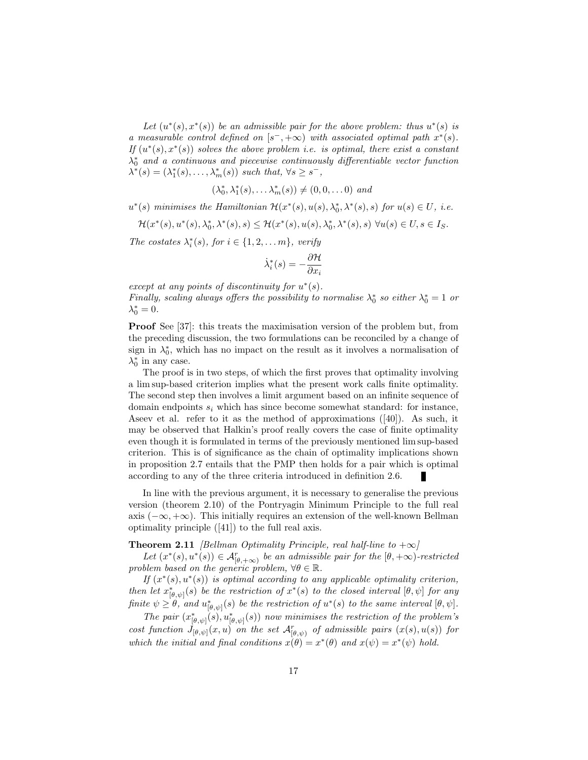Let  $(u^*(s), x^*(s))$  be an admissible pair for the above problem: thus  $u^*(s)$  is a measurable control defined on  $[s^-, +\infty)$  with associated optimal path  $x^*(s)$ . If  $(u^*(s), x^*(s))$  solves the above problem i.e. is optimal, there exist a constant  $\lambda_0^*$  and a continuous and piecewise continuously differentiable vector function  $\lambda^*(s) = (\lambda_1^*(s), \ldots, \lambda_m^*(s))$  such that,  $\forall s \geq s^-$ ,

$$
(\lambda_0^*, \lambda_1^*(s), \ldots \lambda_m^*(s)) \neq (0, 0, \ldots 0) \text{ and }
$$

 $u^*(s)$  minimises the Hamiltonian  $\mathcal{H}(x^*(s), u(s), \lambda_0^*, \lambda^*(s), s)$  for  $u(s) \in U$ , i.e.

 $\mathcal{H}(x^*(s), u^*(s), \lambda_0^*, \lambda^*(s), s) \leq \mathcal{H}(x^*(s), u(s), \lambda_0^*, \lambda^*(s), s) \ \forall u(s) \in U, s \in I_S.$ 

The costates  $\lambda_i^*(s)$ , for  $i \in \{1, 2, \ldots m\}$ , verify

$$
\dot{\lambda}_i^*(s) = -\frac{\partial \mathcal{H}}{\partial x_i}
$$

except at any points of discontinuity for  $u^*(s)$ . Finally, scaling always offers the possibility to normalise  $\lambda_0^*$  so either  $\lambda_0^* = 1$  or  $\lambda_0^* = 0.$ 

Proof See [37]: this treats the maximisation version of the problem but, from the preceding discussion, the two formulations can be reconciled by a change of sign in  $\lambda_0^*$ , which has no impact on the result as it involves a normalisation of  $\lambda_0^*$  in any case.

The proof is in two steps, of which the first proves that optimality involving a lim sup-based criterion implies what the present work calls finite optimality. The second step then involves a limit argument based on an infinite sequence of domain endpoints  $s_i$  which has since become somewhat standard: for instance, Aseev et al. refer to it as the method of approximations  $([40])$ . As such, it may be observed that Halkin's proof really covers the case of finite optimality even though it is formulated in terms of the previously mentioned lim sup-based criterion. This is of significance as the chain of optimality implications shown in proposition 2.7 entails that the PMP then holds for a pair which is optimal according to any of the three criteria introduced in definition 2.6.

In line with the previous argument, it is necessary to generalise the previous version (theorem 2.10) of the Pontryagin Minimum Principle to the full real axis  $(-\infty, +\infty)$ . This initially requires an extension of the well-known Bellman optimality principle ([41]) to the full real axis.

#### **Theorem 2.11** [Bellman Optimality Principle, real half-line to  $+\infty$ ]

Let  $(x^*(s), u^*(s)) \in \mathcal{A}_{[\theta, +\infty)}^r$  be an admissible pair for the  $[\theta, +\infty)$ -restricted problem based on the generic problem,  $\forall \theta \in \mathbb{R}$ .

If  $(x^*(s), u^*(s))$  is optimal according to any applicable optimality criterion, then let  $x_{[\theta,\psi]}^*(s)$  be the restriction of  $x^*(s)$  to the closed interval  $[\theta,\psi]$  for any finite  $\psi \geq \theta$ , and  $u^*_{[\theta,\psi]}(s)$  be the restriction of  $u^*(s)$  to the same interval  $[\theta,\psi]$ .

The pair  $(x^*_{[\theta,\psi]}(s), u^*_{[\theta,\psi]}(s))$  now minimises the restriction of the problem's cost function  $J_{[\theta,\psi]}(x,u)$  on the set  $\mathcal{A}_{[\theta,\psi]}^r$  of admissible pairs  $(x(s),u(s))$  for which the initial and final conditions  $\dot{x}(\theta) = x^*(\theta)$  and  $x(\psi) = x^*(\psi)$  hold.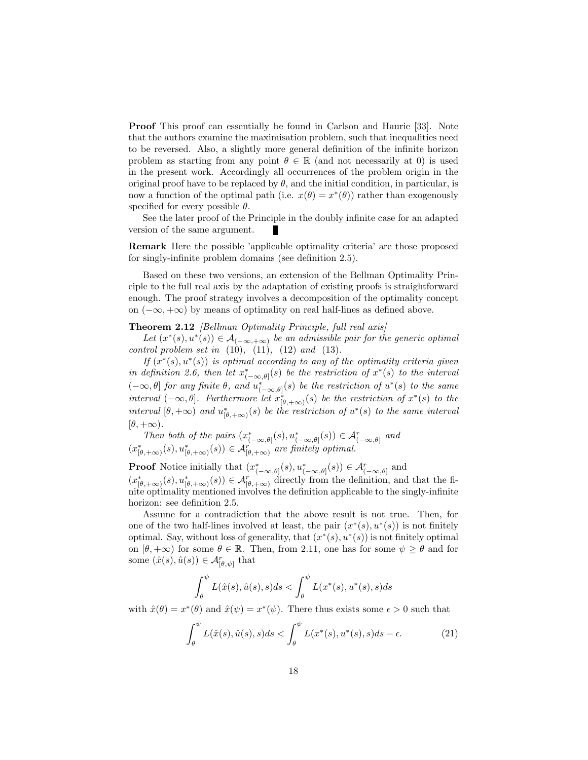Proof This proof can essentially be found in Carlson and Haurie [33]. Note that the authors examine the maximisation problem, such that inequalities need to be reversed. Also, a slightly more general definition of the infinite horizon problem as starting from any point  $\theta \in \mathbb{R}$  (and not necessarily at 0) is used in the present work. Accordingly all occurrences of the problem origin in the original proof have to be replaced by  $\theta$ , and the initial condition, in particular, is now a function of the optimal path (i.e.  $x(\theta) = x^*(\theta)$ ) rather than exogenously specified for every possible  $\theta$ .

See the later proof of the Principle in the doubly infinite case for an adapted version of the same argument.

Remark Here the possible 'applicable optimality criteria' are those proposed for singly-infinite problem domains (see definition 2.5).

Based on these two versions, an extension of the Bellman Optimality Principle to the full real axis by the adaptation of existing proofs is straightforward enough. The proof strategy involves a decomposition of the optimality concept on  $(-\infty, +\infty)$  by means of optimality on real half-lines as defined above.

#### Theorem 2.12 *[Bellman Optimality Principle, full real axis]*

Let  $(x^*(s), u^*(s)) \in \mathcal{A}_{(-\infty, +\infty)}$  be an admissible pair for the generic optimal control problem set in  $(10)$ ,  $(11)$ ,  $(12)$  and  $(13)$ .

If  $(x^*(s), u^*(s))$  is optimal according to any of the optimality criteria given in definition 2.6, then let  $x^*_{(-\infty,\theta]}(s)$  be the restriction of  $x^*(s)$  to the interval  $(-\infty, \theta]$  for any finite  $\theta$ , and  $u^*_{(-\infty, \theta]}(s)$  be the restriction of  $u^*(s)$  to the same interval  $(-\infty, \theta]$ . Furthermore let  $x^*_{[\theta, +\infty)}(s)$  be the restriction of  $x^*(s)$  to the interval  $[\theta, +\infty)$  and  $u^*_{[\theta, +\infty)}(s)$  be the restriction of  $u^*(s)$  to the same interval  $[\theta, +\infty).$ 

Then both of the pairs  $(x^*_{(-\infty,\theta]}(s),u^*_{(-\infty,\theta]}(s)) \in \mathcal{A}_{(-\infty,\theta]}^r$  and  $(x_{\lbrack \theta,+\infty)}^{*}(s),u_{\lbrack \theta,+\infty)}^{*}(s))\in\mathcal{A}_{\lbrack \theta,+\infty)}^{r}$  are finitely optimal.

**Proof** Notice initially that  $(x^*_{(-\infty,\theta]}(s), u^*_{(-\infty,\theta]}(s)) \in \mathcal{A}^r_{(-\infty,\theta]}$  and  $(x^*_{\lbrack \theta, +\infty)}(s), u^*_{\lbrack \theta, +\infty)}(s)) \in \mathcal{A}_{\lbrack \theta, +\infty)}^r$  directly from the definition, and that the finite optimality mentioned involves the definition applicable to the singly-infinite horizon: see definition 2.5.

Assume for a contradiction that the above result is not true. Then, for one of the two half-lines involved at least, the pair  $(x^*(s), u^*(s))$  is not finitely optimal. Say, without loss of generality, that  $(x^*(s), u^*(s))$  is not finitely optimal on  $[\theta, +\infty)$  for some  $\theta \in \mathbb{R}$ . Then, from 2.11, one has for some  $\psi \geq \theta$  and for some  $(\hat{x}(s), \hat{u}(s)) \in \mathcal{A}_{[\theta,\psi]}^r$  that

$$
\int_{\theta}^{\psi} L(\hat{x}(s), \hat{u}(s), s) ds < \int_{\theta}^{\psi} L(x^*(s), u^*(s), s) ds
$$

with  $\hat{x}(\theta) = x^*(\theta)$  and  $\hat{x}(\psi) = x^*(\psi)$ . There thus exists some  $\epsilon > 0$  such that

$$
\int_{\theta}^{\psi} L(\hat{x}(s), \hat{u}(s), s) ds < \int_{\theta}^{\psi} L(x^*(s), u^*(s), s) ds - \epsilon.
$$
 (21)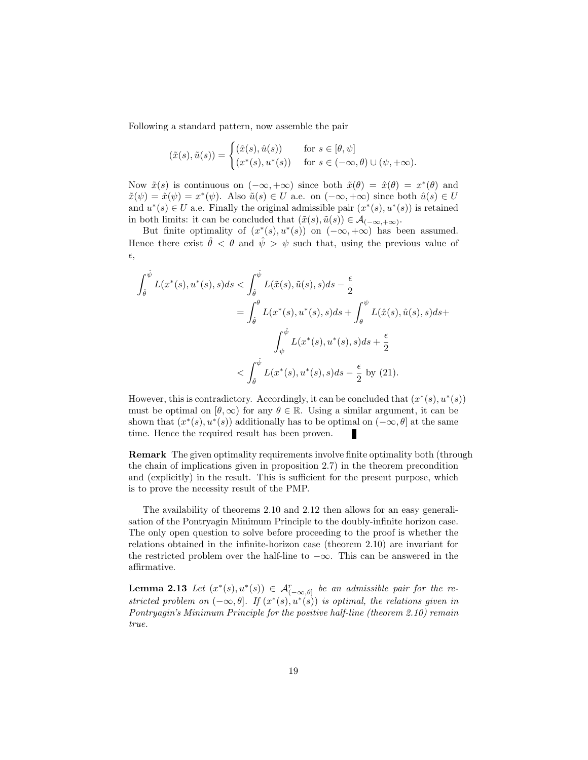Following a standard pattern, now assemble the pair

$$
(\tilde{x}(s), \tilde{u}(s)) = \begin{cases} (\hat{x}(s), \hat{u}(s)) & \text{for } s \in [\theta, \psi] \\ (x^*(s), u^*(s)) & \text{for } s \in (-\infty, \theta) \cup (\psi, +\infty). \end{cases}
$$

Now  $\tilde{x}(s)$  is continuous on  $(-\infty, +\infty)$  since both  $\tilde{x}(\theta) = \hat{x}(\theta) = x^*(\theta)$  and  $\tilde{x}(\psi) = \hat{x}(\psi) = x^*(\psi)$ . Also  $\tilde{u}(s) \in U$  a.e. on  $(-\infty, +\infty)$  since both  $\hat{u}(s) \in U$ and  $u^*(s) \in U$  a.e. Finally the original admissible pair  $(x^*(s), u^*(s))$  is retained in both limits: it can be concluded that  $(\tilde{x}(s), \tilde{u}(s)) \in \mathcal{A}_{(-\infty, +\infty)}$ .

But finite optimality of  $(x^*(s), u^*(s))$  on  $(-\infty, +\infty)$  has been assumed. Hence there exist  $\hat{\theta} < \theta$  and  $\hat{\psi} > \psi$  such that, using the previous value of  $\epsilon$ ,

$$
\int_{\hat{\theta}}^{\hat{\psi}} L(x^*(s), u^*(s), s) ds < \int_{\hat{\theta}}^{\hat{\psi}} L(\tilde{x}(s), \tilde{u}(s), s) ds - \frac{\epsilon}{2}
$$
  
= 
$$
\int_{\hat{\theta}}^{\theta} L(x^*(s), u^*(s), s) ds + \int_{\theta}^{\psi} L(\hat{x}(s), \hat{u}(s), s) ds + \int_{\psi}^{\hat{\psi}} L(x^*(s), u^*(s), s) ds + \frac{\epsilon}{2}
$$
  
< 
$$
< \int_{\hat{\theta}}^{\hat{\psi}} L(x^*(s), u^*(s), s) ds - \frac{\epsilon}{2} \text{ by (21)}.
$$

However, this is contradictory. Accordingly, it can be concluded that  $(x^*(s), u^*(s))$ must be optimal on  $[\theta, \infty)$  for any  $\theta \in \mathbb{R}$ . Using a similar argument, it can be shown that  $(x^*(s), u^*(s))$  additionally has to be optimal on  $(-\infty, \theta]$  at the same time. Hence the required result has been proven.

Remark The given optimality requirements involve finite optimality both (through the chain of implications given in proposition 2.7) in the theorem precondition and (explicitly) in the result. This is sufficient for the present purpose, which is to prove the necessity result of the PMP.

The availability of theorems 2.10 and 2.12 then allows for an easy generalisation of the Pontryagin Minimum Principle to the doubly-infinite horizon case. The only open question to solve before proceeding to the proof is whether the relations obtained in the infinite-horizon case (theorem 2.10) are invariant for the restricted problem over the half-line to  $-\infty$ . This can be answered in the affirmative.

**Lemma 2.13** Let  $(x^*(s), u^*(s)) \in \mathcal{A}_{(-\infty,\theta]}^r$  be an admissible pair for the restricted problem on  $(-\infty, \theta]$ . If  $(x^*(s), u^*(s))$  is optimal, the relations given in Pontryagin's Minimum Principle for the positive half-line (theorem 2.10) remain true.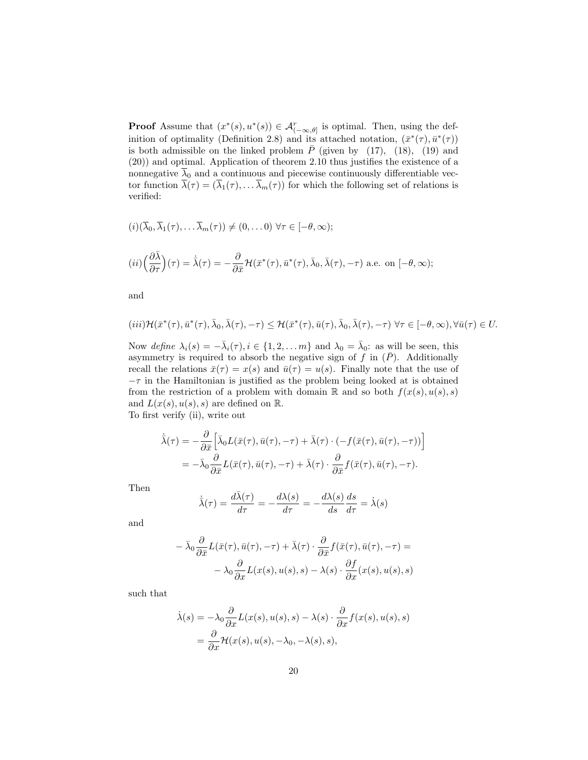**Proof** Assume that  $(x^*(s), u^*(s)) \in \mathcal{A}_{(-\infty,\theta]}^r$  is optimal. Then, using the definition of optimality (Definition 2.8) and its attached notation,  $(\bar{x}^*(\tau), \bar{u}^*(\tau))$ is both admissible on the linked problem  $\overline{P}$  (given by (17), (18), (19) and (20)) and optimal. Application of theorem 2.10 thus justifies the existence of a nonnegative  $\overline{\lambda}_0$  and a continuous and piecewise continuously differentiable vector function  $\overline{\lambda}(\tau) = (\overline{\lambda}_1(\tau), \dots, \overline{\lambda}_m(\tau))$  for which the following set of relations is verified:

$$
(i) (\overline{\lambda}_0, \overline{\lambda}_1(\tau), \ldots \overline{\lambda}_m(\tau)) \neq (0, \ldots 0) \,\,\forall \tau \in [-\theta, \infty);
$$

$$
(ii)\left(\frac{\partial\bar{\lambda}}{\partial\tau}\right)(\tau)=\dot{\bar{\lambda}}(\tau)=-\frac{\partial}{\partial\bar{x}}\mathcal{H}(\bar{x}^*(\tau),\bar{u}^*(\tau),\bar{\lambda}_0,\bar{\lambda}(\tau),-\tau)\text{ a.e. on }[-\theta,\infty);
$$

and

$$
(iii)\mathcal{H}(\bar{x}^*(\tau),\bar{u}^*(\tau),\bar{\lambda}_0,\bar{\lambda}(\tau),-\tau) \leq \mathcal{H}(\bar{x}^*(\tau),\bar{u}(\tau),\bar{\lambda}_0,\bar{\lambda}(\tau),-\tau) \,\,\forall \tau \in [-\theta,\infty), \forall \bar{u}(\tau) \in U.
$$

Now define  $\lambda_i(s) = -\bar{\lambda}_i(\tau), i \in \{1, 2, ..., m\}$  and  $\lambda_0 = \bar{\lambda}_0$ : as will be seen, this asymmetry is required to absorb the negative sign of f in  $(\bar{P})$ . Additionally recall the relations  $\bar{x}(\tau) = x(s)$  and  $\bar{u}(\tau) = u(s)$ . Finally note that the use of  $-\tau$  in the Hamiltonian is justified as the problem being looked at is obtained from the restriction of a problem with domain R and so both  $f(x(s), u(s), s)$ and  $L(x(s), u(s), s)$  are defined on  $\mathbb{R}$ .

To first verify (ii), write out

$$
\dot{\bar{\lambda}}(\tau) = -\frac{\partial}{\partial \bar{x}} \Big[ \bar{\lambda}_0 L(\bar{x}(\tau), \bar{u}(\tau), -\tau) + \bar{\lambda}(\tau) \cdot (-f(\bar{x}(\tau), \bar{u}(\tau), -\tau)) \Big]
$$
\n
$$
= -\bar{\lambda}_0 \frac{\partial}{\partial \bar{x}} L(\bar{x}(\tau), \bar{u}(\tau), -\tau) + \bar{\lambda}(\tau) \cdot \frac{\partial}{\partial \bar{x}} f(\bar{x}(\tau), \bar{u}(\tau), -\tau).
$$

Then

$$
\dot{\lambda}(\tau) = \frac{d\bar{\lambda}(\tau)}{d\tau} = -\frac{d\lambda(s)}{d\tau} = -\frac{d\lambda(s)}{ds}\frac{ds}{d\tau} = \dot{\lambda}(s)
$$

and

$$
- \bar{\lambda}_0 \frac{\partial}{\partial \bar{x}} L(\bar{x}(\tau), \bar{u}(\tau), -\tau) + \bar{\lambda}(\tau) \cdot \frac{\partial}{\partial \bar{x}} f(\bar{x}(\tau), \bar{u}(\tau), -\tau) =
$$

$$
- \lambda_0 \frac{\partial}{\partial x} L(x(s), u(s), s) - \lambda(s) \cdot \frac{\partial f}{\partial x}(x(s), u(s), s)
$$

such that

$$
\dot{\lambda}(s) = -\lambda_0 \frac{\partial}{\partial x} L(x(s), u(s), s) - \lambda(s) \cdot \frac{\partial}{\partial x} f(x(s), u(s), s)
$$
  
= 
$$
\frac{\partial}{\partial x} \mathcal{H}(x(s), u(s), -\lambda_0, -\lambda(s), s),
$$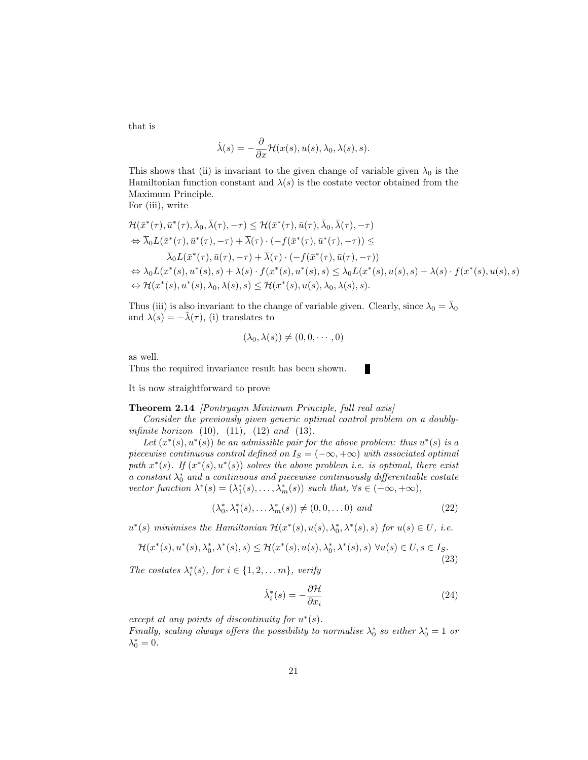that is

$$
\dot{\lambda}(s) = -\frac{\partial}{\partial x} \mathcal{H}(x(s), u(s), \lambda_0, \lambda(s), s).
$$

This shows that (ii) is invariant to the given change of variable given  $\lambda_0$  is the Hamiltonian function constant and  $\lambda(s)$  is the costate vector obtained from the Maximum Principle.

For (iii), write

$$
\mathcal{H}(\bar{x}^*(\tau), \bar{u}^*(\tau), \bar{\lambda}_0, \bar{\lambda}(\tau), -\tau) \leq \mathcal{H}(\bar{x}^*(\tau), \bar{u}(\tau), \bar{\lambda}_0, \bar{\lambda}(\tau), -\tau) \n\Leftrightarrow \bar{\lambda}_0 L(\bar{x}^*(\tau), \bar{u}^*(\tau), -\tau) + \bar{\lambda}(\tau) \cdot (-f(\bar{x}^*(\tau), \bar{u}^*(\tau), -\tau)) \leq \n\bar{\lambda}_0 L(\bar{x}^*(\tau), \bar{u}(\tau), -\tau) + \bar{\lambda}(\tau) \cdot (-f(\bar{x}^*(\tau), \bar{u}(\tau), -\tau)) \n\Leftrightarrow \lambda_0 L(x^*(s), u^*(s), s) + \lambda(s) \cdot f(x^*(s), u^*(s), s) \leq \lambda_0 L(x^*(s), u(s), s) + \lambda(s) \cdot f(x^*(s), u(s), s) \n\Leftrightarrow \mathcal{H}(x^*(s), u^*(s), \lambda_0, \lambda(s), s) \leq \mathcal{H}(x^*(s), u(s), \lambda_0, \lambda(s), s).
$$

Thus (iii) is also invariant to the change of variable given. Clearly, since  $\lambda_0 = \overline{\lambda}_0$ and  $\lambda(s) = -\overline{\lambda}(\tau)$ , (i) translates to

$$
(\lambda_0, \lambda(s)) \neq (0, 0, \cdots, 0)
$$

as well.

Thus the required invariance result has been shown.

It is now straightforward to prove

#### Theorem 2.14 [Pontryagin Minimum Principle, full real axis]

Consider the previously given generic optimal control problem on a doubly*infinite horizon*  $(10)$ ,  $(11)$ ,  $(12)$  *and*  $(13)$ .

Let  $(x^*(s), u^*(s))$  be an admissible pair for the above problem: thus  $u^*(s)$  is a piecewise continuous control defined on  $I_S = (-\infty, +\infty)$  with associated optimal path  $x^*(s)$ . If  $(x^*(s), u^*(s))$  solves the above problem i.e. is optimal, there exist a constant  $\lambda_0^*$  and a continuous and piecewise continuously differentiable costate vector function  $\lambda^*(s) = (\lambda_1^*(s), \dots, \lambda_m^*(s))$  such that,  $\forall s \in (-\infty, +\infty)$ ,

$$
(\lambda_0^*, \lambda_1^*(s), \dots \lambda_m^*(s)) \neq (0, 0, \dots 0) \text{ and } (22)
$$

 $u^*(s)$  minimises the Hamiltonian  $\mathcal{H}(x^*(s), u(s), \lambda_0^*, \lambda^*(s), s)$  for  $u(s) \in U$ , i.e.

$$
\mathcal{H}(x^*(s), u^*(s), \lambda_0^*, \lambda^*(s), s) \le \mathcal{H}(x^*(s), u(s), \lambda_0^*, \lambda^*(s), s) \,\,\forall u(s) \in U, s \in I_S. \tag{23}
$$

The costates  $\lambda_i^*(s)$ , for  $i \in \{1, 2, \ldots m\}$ , verify

$$
\dot{\lambda}_i^*(s) = -\frac{\partial \mathcal{H}}{\partial x_i} \tag{24}
$$

except at any points of discontinuity for  $u^*(s)$ .

Finally, scaling always offers the possibility to normalise  $\lambda_0^*$  so either  $\lambda_0^* = 1$  or  $\lambda_0^* = 0.$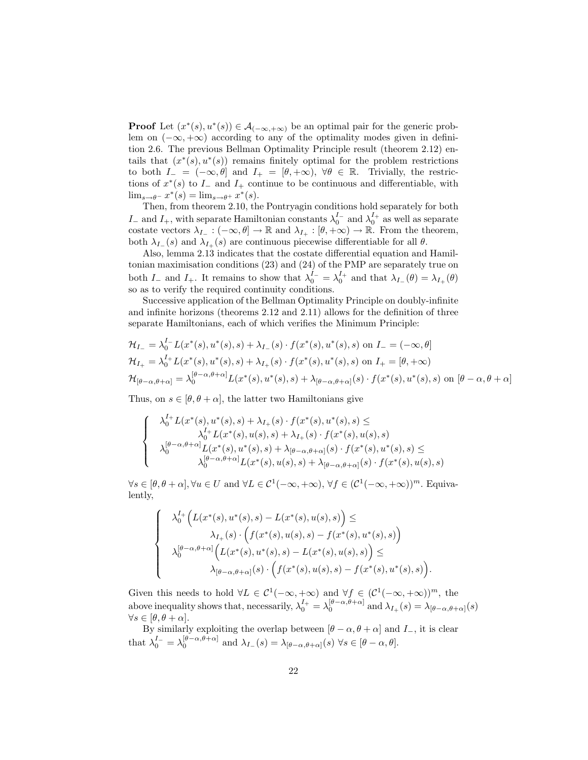**Proof** Let  $(x^*(s), u^*(s)) \in \mathcal{A}_{(-\infty, +\infty)}$  be an optimal pair for the generic problem on  $(-\infty, +\infty)$  according to any of the optimality modes given in definition 2.6. The previous Bellman Optimality Principle result (theorem 2.12) entails that  $(x^*(s), u^*(s))$  remains finitely optimal for the problem restrictions to both  $I_{-} = (-\infty, \theta]$  and  $I_{+} = [\theta, +\infty), \forall \theta \in \mathbb{R}$ . Trivially, the restrictions of  $x^*(s)$  to  $I_-\$  and  $I_+\$ continue to be continuous and differentiable, with  $\lim_{s \to \theta^-} x^*(s) = \lim_{s \to \theta^+} x^*(s).$ 

Then, from theorem 2.10, the Pontryagin conditions hold separately for both I<sub>−</sub> and  $I_+$ , with separate Hamiltonian constants  $\lambda_0^{I_-}$  and  $\lambda_0^{I_+}$  as well as separate costate vectors  $\lambda_{I_-}: (-\infty, \theta] \to \mathbb{R}$  and  $\lambda_{I_+}: [\theta, +\infty) \to \mathbb{R}$ . From the theorem, both  $\lambda_{I-}(s)$  and  $\lambda_{I+}(s)$  are continuous piecewise differentiable for all  $\theta$ .

Also, lemma 2.13 indicates that the costate differential equation and Hamiltonian maximisation conditions (23) and (24) of the PMP are separately true on both  $I_-$  and  $I_+$ . It remains to show that  $\lambda_0^{I_-} = \lambda_0^{I_+}$  and that  $\lambda_{I_-}(\theta) = \lambda_{I_+}(\theta)$ so as to verify the required continuity conditions.

Successive application of the Bellman Optimality Principle on doubly-infinite and infinite horizons (theorems 2.12 and 2.11) allows for the definition of three separate Hamiltonians, each of which verifies the Minimum Principle:

$$
\mathcal{H}_{I_{-}} = \lambda_{0}^{I_{-}} L(x^{*}(s), u^{*}(s), s) + \lambda_{I_{-}}(s) \cdot f(x^{*}(s), u^{*}(s), s) \text{ on } I_{-} = (-\infty, \theta]
$$
  
\n
$$
\mathcal{H}_{I_{+}} = \lambda_{0}^{I_{+}} L(x^{*}(s), u^{*}(s), s) + \lambda_{I_{+}}(s) \cdot f(x^{*}(s), u^{*}(s), s) \text{ on } I_{+} = [\theta, +\infty)
$$
  
\n
$$
\mathcal{H}_{[\theta-\alpha,\theta+\alpha]} = \lambda_{0}^{[\theta-\alpha,\theta+\alpha]} L(x^{*}(s), u^{*}(s), s) + \lambda_{[\theta-\alpha,\theta+\alpha]}(s) \cdot f(x^{*}(s), u^{*}(s), s) \text{ on } [\theta-\alpha,\theta+\alpha]
$$

Thus, on  $s \in [\theta, \theta + \alpha]$ , the latter two Hamiltonians give

$$
\begin{cases}\n\lambda_0^{I_+} L(x^*(s), u^*(s), s) + \lambda_{I_+}(s) \cdot f(x^*(s), u^*(s), s) \le \\
\lambda_0^{I_+} L(x^*(s), u(s), s) + \lambda_{I_+}(s) \cdot f(x^*(s), u(s), s) \\
\lambda_0^{[\theta - \alpha, \theta + \alpha]} L(x^*(s), u^*(s), s) + \lambda_{[\theta - \alpha, \theta + \alpha]}(s) \cdot f(x^*(s), u^*(s), s) \le \\
\lambda_0^{[\theta - \alpha, \theta + \alpha]} L(x^*(s), u(s), s) + \lambda_{[\theta - \alpha, \theta + \alpha]}(s) \cdot f(x^*(s), u(s), s)\n\end{cases}
$$

 $\forall s \in [\theta, \theta + \alpha], \forall u \in U \text{ and } \forall L \in \mathcal{C}^1(-\infty, +\infty), \forall f \in (\mathcal{C}^1(-\infty, +\infty))^m.$  Equivalently,

$$
\begin{cases}\n\lambda_0^{I_+}\Big(L(x^*(s), u^*(s), s) - L(x^*(s), u(s), s)\Big) \le \\
\lambda_{I_+}(s) \cdot \Big(f(x^*(s), u(s), s) - f(x^*(s), u^*(s), s)\Big) \\
\lambda_0^{[\theta-\alpha, \theta+\alpha]}\Big(L(x^*(s), u^*(s), s) - L(x^*(s), u(s), s)\Big) \le \\
\lambda_{[\theta-\alpha, \theta+\alpha]}(s) \cdot \Big(f(x^*(s), u(s), s) - f(x^*(s), u^*(s), s)\Big)\n\end{cases}
$$

Given this needs to hold  $\forall L \in C^{1}(-\infty, +\infty)$  and  $\forall f \in (C^{1}(-\infty, +\infty))^{m}$ , the above inequality shows that, necessarily,  $\lambda_0^{I_+} = \lambda_0^{[\theta-\alpha,\theta+\alpha]}$  and  $\lambda_{I_+}(s) = \lambda_{[\theta-\alpha,\theta+\alpha]}(s)$  $\forall s \in [\theta, \theta + \alpha].$ 

.

By similarly exploiting the overlap between  $[\theta - \alpha, \theta + \alpha]$  and  $I_-,$  it is clear that  $\lambda_0^{I_-} = \lambda_0^{[\theta-\alpha,\theta+\alpha]}$  and  $\lambda_{I_-}(s) = \lambda_{[\theta-\alpha,\theta+\alpha]}(s)$   $\forall s \in [\theta-\alpha,\theta]$ .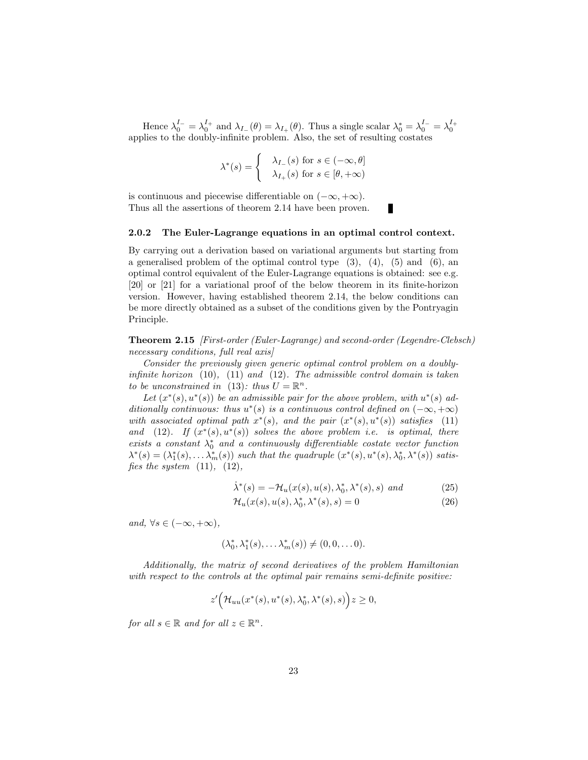Hence  $\lambda_0^{I_-} = \lambda_0^{I_+}$  and  $\lambda_{I_-}(\theta) = \lambda_{I_+}(\theta)$ . Thus a single scalar  $\lambda_0^* = \lambda_0^{I_-} = \lambda_0^{I_+}$ applies to the doubly-infinite problem. Also, the set of resulting costates

$$
\lambda^*(s) = \begin{cases} \lambda_{I-}(s) \text{ for } s \in (-\infty, \theta] \\ \lambda_{I+}(s) \text{ for } s \in [\theta, +\infty) \end{cases}
$$

is continuous and piecewise differentiable on  $(-\infty, +\infty)$ . Thus all the assertions of theorem 2.14 have been proven.

#### 2.0.2 The Euler-Lagrange equations in an optimal control context.

By carrying out a derivation based on variational arguments but starting from a generalised problem of the optimal control type  $(3)$ ,  $(4)$ ,  $(5)$  and  $(6)$ , an optimal control equivalent of the Euler-Lagrange equations is obtained: see e.g. [20] or [21] for a variational proof of the below theorem in its finite-horizon version. However, having established theorem 2.14, the below conditions can be more directly obtained as a subset of the conditions given by the Pontryagin Principle.

Theorem 2.15 [First-order (Euler-Lagrange) and second-order (Legendre-Clebsch) necessary conditions, full real axis

Consider the previously given generic optimal control problem on a doublyinfinite horizon  $(10)$ ,  $(11)$  and  $(12)$ . The admissible control domain is taken to be unconstrained in (13): thus  $U = \mathbb{R}^n$ .

Let  $(x^*(s), u^*(s))$  be an admissible pair for the above problem, with  $u^*(s)$  additionally continuous: thus  $u^*(s)$  is a continuous control defined on  $(-\infty, +\infty)$ with associated optimal path  $x^*(s)$ , and the pair  $(x^*(s), u^*(s))$  satisfies (11) and (12). If  $(x^*(s), u^*(s))$  solves the above problem i.e. is optimal, there exists a constant  $\lambda_0^*$  and a continuously differentiable costate vector function  $\lambda^*(s) = (\lambda_1^*(s), \ldots \lambda_m^*(s))$  such that the quadruple  $(x^*(s), u^*(s), \lambda_0^*, \lambda^*(s))$  satisfies the system  $(11)$ ,  $(12)$ ,

$$
\dot{\lambda}^*(s) = -\mathcal{H}_u(x(s), u(s), \lambda_0^*, \lambda^*(s), s) \text{ and } (25)
$$

п

$$
\mathcal{H}_u(x(s), u(s), \lambda_0^*, \lambda^*(s), s) = 0 \tag{26}
$$

and,  $\forall s \in (-\infty, +\infty)$ ,

$$
(\lambda_0^*, \lambda_1^*(s), \dots \lambda_m^*(s)) \neq (0, 0, \dots 0).
$$

Additionally, the matrix of second derivatives of the problem Hamiltonian with respect to the controls at the optimal pair remains semi-definite positive:

$$
z'\Big(\mathcal{H}_{uu}(x^*(s),u^*(s),\lambda_0^*,\lambda^*(s),s)\Big)z\geq 0,
$$

for all  $s \in \mathbb{R}$  and for all  $z \in \mathbb{R}^n$ .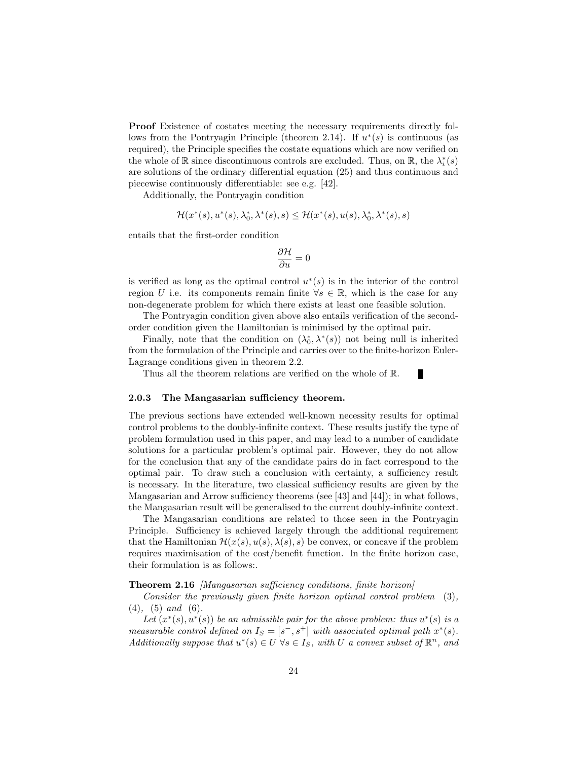Proof Existence of costates meeting the necessary requirements directly follows from the Pontryagin Principle (theorem 2.14). If  $u^*(s)$  is continuous (as required), the Principle specifies the costate equations which are now verified on the whole of  $\mathbb R$  since discontinuous controls are excluded. Thus, on  $\mathbb R,$  the  $\lambda_i^*(s)$ are solutions of the ordinary differential equation (25) and thus continuous and piecewise continuously differentiable: see e.g. [42].

Additionally, the Pontryagin condition

$$
\mathcal{H}(x^*(s),u^*(s),\lambda_0^*,\lambda^*(s),s)\leq \mathcal{H}(x^*(s),u(s),\lambda_0^*,\lambda^*(s),s)
$$

entails that the first-order condition

$$
\frac{\partial \mathcal{H}}{\partial u} = 0
$$

is verified as long as the optimal control  $u^*(s)$  is in the interior of the control region U i.e. its components remain finite  $\forall s \in \mathbb{R}$ , which is the case for any non-degenerate problem for which there exists at least one feasible solution.

The Pontryagin condition given above also entails verification of the secondorder condition given the Hamiltonian is minimised by the optimal pair.

Finally, note that the condition on  $(\lambda_0^*, \lambda^*(s))$  not being null is inherited from the formulation of the Principle and carries over to the finite-horizon Euler-Lagrange conditions given in theorem 2.2.

Г

Thus all the theorem relations are verified on the whole of R.

#### 2.0.3 The Mangasarian sufficiency theorem.

The previous sections have extended well-known necessity results for optimal control problems to the doubly-infinite context. These results justify the type of problem formulation used in this paper, and may lead to a number of candidate solutions for a particular problem's optimal pair. However, they do not allow for the conclusion that any of the candidate pairs do in fact correspond to the optimal pair. To draw such a conclusion with certainty, a sufficiency result is necessary. In the literature, two classical sufficiency results are given by the Mangasarian and Arrow sufficiency theorems (see [43] and [44]); in what follows, the Mangasarian result will be generalised to the current doubly-infinite context.

The Mangasarian conditions are related to those seen in the Pontryagin Principle. Sufficiency is achieved largely through the additional requirement that the Hamiltonian  $\mathcal{H}(x(s), u(s), \lambda(s), s)$  be convex, or concave if the problem requires maximisation of the cost/benefit function. In the finite horizon case, their formulation is as follows:.

#### Theorem 2.16 [Mangasarian sufficiency conditions, finite horizon]

Consider the previously given finite horizon optimal control problem (3),  $(4)$ ,  $(5)$  and  $(6)$ .

Let  $(x^*(s), u^*(s))$  be an admissible pair for the above problem: thus  $u^*(s)$  is a measurable control defined on  $I_S = [s^-, s^+]$  with associated optimal path  $x^*(s)$ . Additionally suppose that  $u^*(s) \in U$   $\forall s \in I_S$ , with U a convex subset of  $\mathbb{R}^n$ , and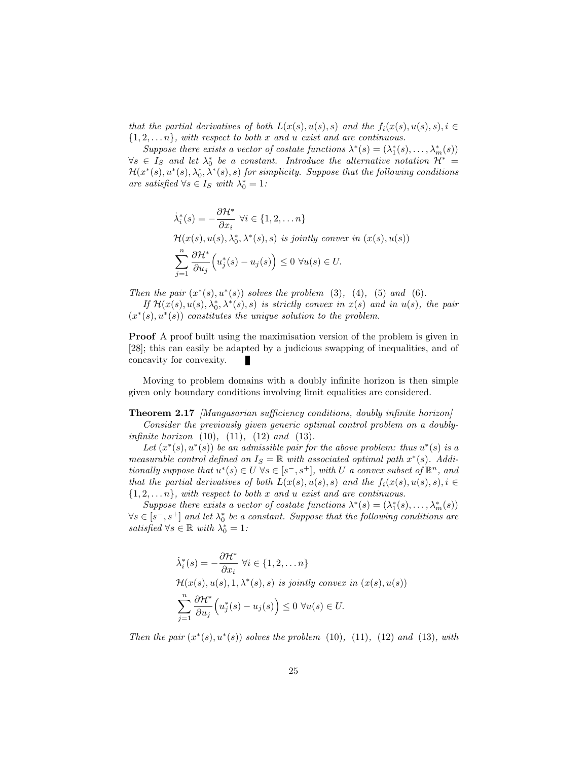that the partial derivatives of both  $L(x(s), u(s), s)$  and the  $f_i(x(s), u(s), s), i \in$  $\{1, 2, \ldots n\}$ , with respect to both x and u exist and are continuous.

Suppose there exists a vector of costate functions  $\lambda^*(s) = (\lambda_1^*(s), \dots, \lambda_m^*(s))$  $\forall s \in I_S$  and let  $\lambda_0^*$  be a constant. Introduce the alternative notation  $\mathcal{H}^* =$  $\mathcal{H}(x^*(s),u^*(s),\lambda_0^*,\lambda^*(s),s)$  for simplicity. Suppose that the following conditions are satisfied  $\forall s \in I_S$  with  $\lambda_0^* = 1$ :

$$
\dot{\lambda}_i^*(s) = -\frac{\partial \mathcal{H}^*}{\partial x_i} \ \forall i \in \{1, 2, \dots n\}
$$
\n
$$
\mathcal{H}(x(s), u(s), \lambda_0^*, \lambda^*(s), s) \ \text{is jointly convex in } (x(s), u(s))
$$
\n
$$
\sum_{j=1}^n \frac{\partial \mathcal{H}^*}{\partial u_j} \Big( u_j^*(s) - u_j(s) \Big) \leq 0 \ \forall u(s) \in U.
$$

Then the pair  $(x^*(s), u^*(s))$  solves the problem (3), (4), (5) and (6).

If  $\mathcal{H}(x(s), u(s), \lambda_0^*, \lambda^*(s), s)$  is strictly convex in  $x(s)$  and in  $u(s)$ , the pair  $(x^*(s), u^*(s))$  constitutes the unique solution to the problem.

Proof A proof built using the maximisation version of the problem is given in [28]; this can easily be adapted by a judicious swapping of inequalities, and of concavity for convexity.

Moving to problem domains with a doubly infinite horizon is then simple given only boundary conditions involving limit equalities are considered.

Theorem 2.17 [Mangasarian sufficiency conditions, doubly infinite horizon]

Consider the previously given generic optimal control problem on a doubly*infinite horizon*  $(10)$ ,  $(11)$ ,  $(12)$  *and*  $(13)$ .

Let  $(x^*(s), u^*(s))$  be an admissible pair for the above problem: thus  $u^*(s)$  is a measurable control defined on  $I_S = \mathbb{R}$  with associated optimal path  $x^*(s)$ . Additionally suppose that  $u^*(s) \in U$   $\forall s \in [s^-, s^+]$ , with U a convex subset of  $\mathbb{R}^n$ , and that the partial derivatives of both  $L(x(s), u(s), s)$  and the  $f_i(x(s), u(s), s), i \in$  $\{1, 2, \ldots n\}$ , with respect to both x and u exist and are continuous.

Suppose there exists a vector of costate functions  $\lambda^*(s) = (\lambda_1^*(s), \dots, \lambda_m^*(s))$  $\forall s \in [s^-, s^+]$  and let  $\lambda_0^*$  be a constant. Suppose that the following conditions are satisfied  $\forall s \in \mathbb{R}$  with  $\lambda_0^* = 1$ :

$$
\dot{\lambda}_i^*(s) = -\frac{\partial \mathcal{H}^*}{\partial x_i} \ \forall i \in \{1, 2, \dots n\}
$$
\n
$$
\mathcal{H}(x(s), u(s), 1, \lambda^*(s), s) \ \text{is jointly convex in } (x(s), u(s))
$$
\n
$$
\sum_{j=1}^n \frac{\partial \mathcal{H}^*}{\partial u_j} \Big( u_j^*(s) - u_j(s) \Big) \leq 0 \ \forall u(s) \in U.
$$

Then the pair  $(x^*(s), u^*(s))$  solves the problem (10), (11), (12) and (13), with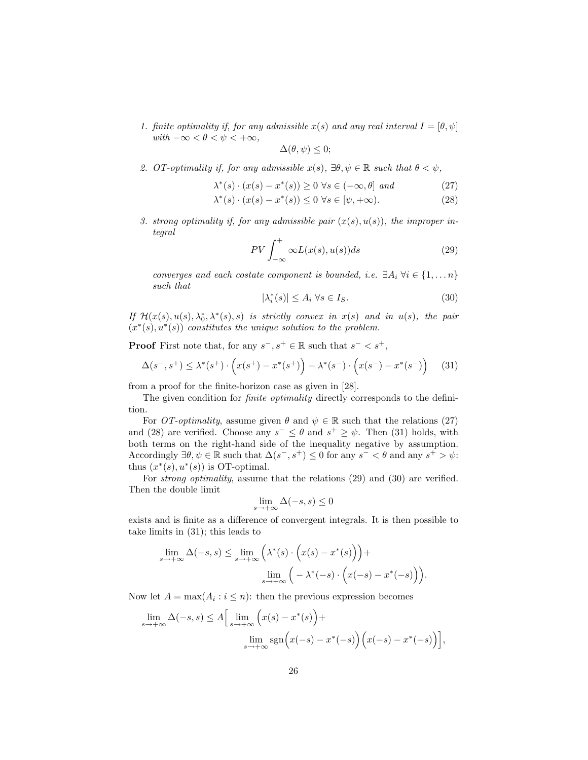1. finite optimality if, for any admissible  $x(s)$  and any real interval  $I = [\theta, \psi]$ with  $-\infty < \theta < \psi < +\infty$ ,

$$
\Delta(\theta,\psi)\leq 0;
$$

2. OT-optimality if, for any admissible  $x(s)$ ,  $\exists \theta, \psi \in \mathbb{R}$  such that  $\theta < \psi$ ,

$$
\lambda^*(s) \cdot (x(s) - x^*(s)) \ge 0 \,\,\forall s \in (-\infty, \theta] \,\,\text{and} \tag{27}
$$

$$
\lambda^*(s) \cdot (x(s) - x^*(s)) \le 0 \,\forall s \in [\psi, +\infty). \tag{28}
$$

3. strong optimality if, for any admissible pair  $(x(s), u(s))$ , the improper integral

$$
PV \int_{-\infty}^{+} \infty L(x(s), u(s)) ds
$$
 (29)

converges and each costate component is bounded, i.e.  $\exists A_i \ \forall i \in \{1, \ldots n\}$ such that

$$
|\lambda_i^*(s)| \le A_i \,\forall s \in I_S. \tag{30}
$$

If  $\mathcal{H}(x(s), u(s), \lambda_0^*, \lambda^*(s), s)$  is strictly convex in  $x(s)$  and in  $u(s)$ , the pair  $(x^*(s), u^*(s))$  constitutes the unique solution to the problem.

**Proof** First note that, for any  $s^-, s^+ \in \mathbb{R}$  such that  $s^- < s^+,$ 

$$
\Delta(s^-, s^+) \le \lambda^*(s^+) \cdot \left( x(s^+) - x^*(s^+) \right) - \lambda^*(s^-) \cdot \left( x(s^-) - x^*(s^-) \right) \tag{31}
$$

from a proof for the finite-horizon case as given in [28].

The given condition for *finite optimality* directly corresponds to the definition.

For *OT-optimality*, assume given  $\theta$  and  $\psi \in \mathbb{R}$  such that the relations (27) and (28) are verified. Choose any  $s^- \leq \theta$  and  $s^+ \geq \psi$ . Then (31) holds, with both terms on the right-hand side of the inequality negative by assumption. Accordingly  $\exists \theta, \psi \in \mathbb{R}$  such that  $\Delta(s^-, s^+) \leq 0$  for any  $s^- < \theta$  and any  $s^+ > \psi$ : thus  $(x^*(s), u^*(s))$  is OT-optimal.

For strong optimality, assume that the relations (29) and (30) are verified. Then the double limit

$$
\lim_{s \to +\infty} \Delta(-s, s) \le 0
$$

exists and is finite as a difference of convergent integrals. It is then possible to take limits in (31); this leads to

$$
\lim_{s \to +\infty} \Delta(-s, s) \le \lim_{s \to +\infty} \left( \lambda^*(s) \cdot \left( x(s) - x^*(s) \right) \right) +
$$

$$
\lim_{s \to +\infty} \left( -\lambda^*(-s) \cdot \left( x(-s) - x^*(-s) \right) \right).
$$

Now let  $A = \max(A_i : i \leq n)$ : then the previous expression becomes

$$
\lim_{s \to +\infty} \Delta(-s, s) \le A \Big[ \lim_{s \to +\infty} \Big( x(s) - x^*(s) \Big) +
$$

$$
\lim_{s \to +\infty} \text{sgn} \Big( x(-s) - x^*(-s) \Big) \Big( x(-s) - x^*(-s) \Big) \Big],
$$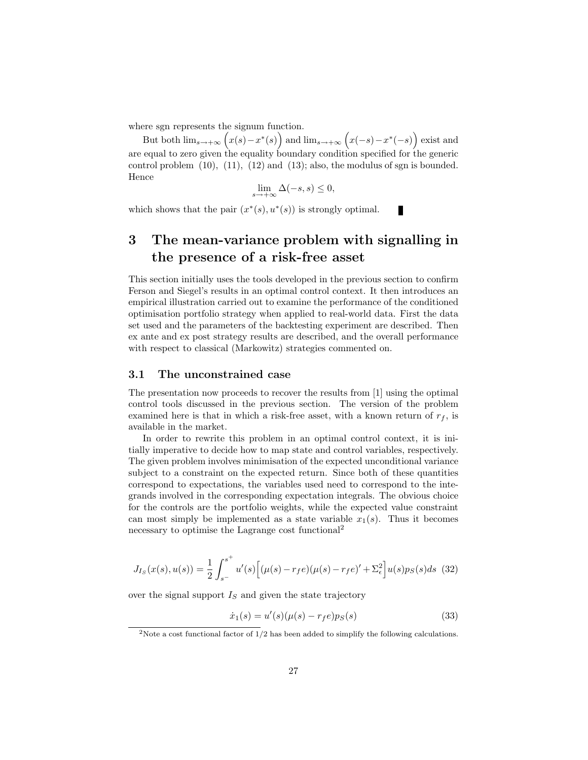where sgn represents the signum function.

But both  $\lim_{s\to+\infty} (x(s)-x^*(s))$  and  $\lim_{s\to+\infty} (x(-s)-x^*(-s))$  exist and are equal to zero given the equality boundary condition specified for the generic control problem  $(10)$ ,  $(11)$ ,  $(12)$  and  $(13)$ ; also, the modulus of sgn is bounded. Hence

$$
\lim_{s \to +\infty} \Delta(-s, s) \le 0,
$$

П

which shows that the pair  $(x^*(s), u^*(s))$  is strongly optimal.

### 3 The mean-variance problem with signalling in the presence of a risk-free asset

This section initially uses the tools developed in the previous section to confirm Ferson and Siegel's results in an optimal control context. It then introduces an empirical illustration carried out to examine the performance of the conditioned optimisation portfolio strategy when applied to real-world data. First the data set used and the parameters of the backtesting experiment are described. Then ex ante and ex post strategy results are described, and the overall performance with respect to classical (Markowitz) strategies commented on.

#### 3.1 The unconstrained case

The presentation now proceeds to recover the results from [1] using the optimal control tools discussed in the previous section. The version of the problem examined here is that in which a risk-free asset, with a known return of  $r_f$ , is available in the market.

In order to rewrite this problem in an optimal control context, it is initially imperative to decide how to map state and control variables, respectively. The given problem involves minimisation of the expected unconditional variance subject to a constraint on the expected return. Since both of these quantities correspond to expectations, the variables used need to correspond to the integrands involved in the corresponding expectation integrals. The obvious choice for the controls are the portfolio weights, while the expected value constraint can most simply be implemented as a state variable  $x_1(s)$ . Thus it becomes necessary to optimise the Lagrange cost functional<sup>2</sup>

$$
J_{Is}(x(s), u(s)) = \frac{1}{2} \int_{s^{-}}^{s^{+}} u'(s) \Big[ (\mu(s) - r_f e)(\mu(s) - r_f e)' + \Sigma_{\epsilon}^2 \Big] u(s) p_S(s) ds
$$
 (32)

over the signal support  $I<sub>S</sub>$  and given the state trajectory

$$
\dot{x}_1(s) = u'(s)(\mu(s) - r_f e)p_S(s)
$$
\n(33)

<sup>&</sup>lt;sup>2</sup>Note a cost functional factor of  $1/2$  has been added to simplify the following calculations.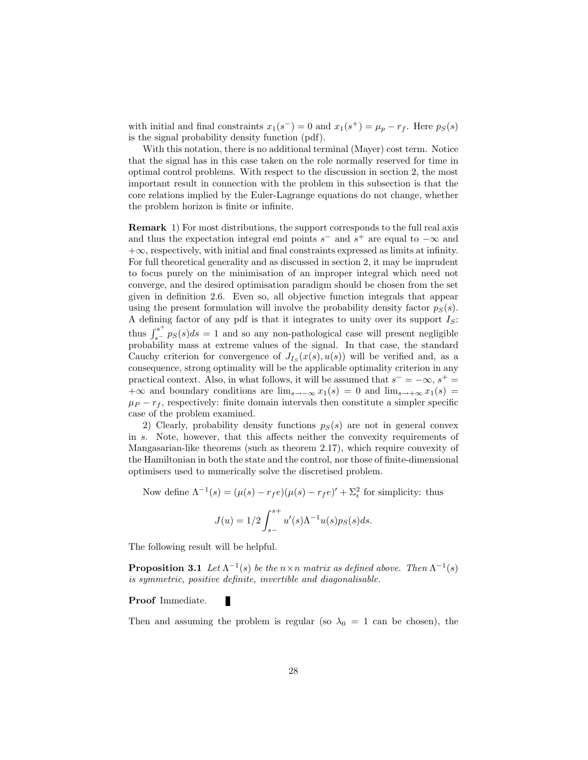with initial and final constraints  $x_1(s^-) = 0$  and  $x_1(s^+) = \mu_p - r_f$ . Here  $p_S(s)$ is the signal probability density function (pdf).

With this notation, there is no additional terminal (Mayer) cost term. Notice that the signal has in this case taken on the role normally reserved for time in optimal control problems. With respect to the discussion in section 2, the most important result in connection with the problem in this subsection is that the core relations implied by the Euler-Lagrange equations do not change, whether the problem horizon is finite or infinite.

Remark 1) For most distributions, the support corresponds to the full real axis and thus the expectation integral end points  $s^-$  and  $s^+$  are equal to  $-\infty$  and  $+\infty$ , respectively, with initial and final constraints expressed as limits at infinity. For full theoretical generality and as discussed in section 2, it may be imprudent to focus purely on the minimisation of an improper integral which need not converge, and the desired optimisation paradigm should be chosen from the set given in definition 2.6. Even so, all objective function integrals that appear using the present formulation will involve the probability density factor  $p<sub>S</sub>(s)$ . A defining factor of any pdf is that it integrates to unity over its support  $I_S$ : thus  $\int_{s^-}^{s^+} p_S(s)ds = 1$  and so any non-pathological case will present negligible probability mass at extreme values of the signal. In that case, the standard Cauchy criterion for convergence of  $J_{I_S}(x(s), u(s))$  will be verified and, as a consequence, strong optimality will be the applicable optimality criterion in any practical context. Also, in what follows, it will be assumed that  $s^- = -\infty$ ,  $s^+ =$  $+\infty$  and boundary conditions are  $\lim_{s\to-\infty} x_1(s) = 0$  and  $\lim_{s\to+\infty} x_1(s) =$  $\mu_P - r_f$ , respectively: finite domain intervals then constitute a simpler specific case of the problem examined.

2) Clearly, probability density functions  $p<sub>S</sub>(s)$  are not in general convex in s. Note, however, that this affects neither the convexity requirements of Mangasarian-like theorems (such as theorem 2.17), which require convexity of the Hamiltonian in both the state and the control, nor those of finite-dimensional optimisers used to numerically solve the discretised problem.

Now define  $\Lambda^{-1}(s) = (\mu(s) - r_f e)(\mu(s) - r_f e)' + \Sigma_{\epsilon}^2$  for simplicity: thus

$$
J(u) = 1/2 \int_{s-}^{s+} u'(s) \Lambda^{-1} u(s) p_S(s) ds.
$$

The following result will be helpful.

**Proposition 3.1** Let  $\Lambda^{-1}(s)$  be the  $n \times n$  matrix as defined above. Then  $\Lambda^{-1}(s)$ is symmetric, positive definite, invertible and diagonalisable.

#### Proof Immediate.

Then and assuming the problem is regular (so  $\lambda_0 = 1$  can be chosen), the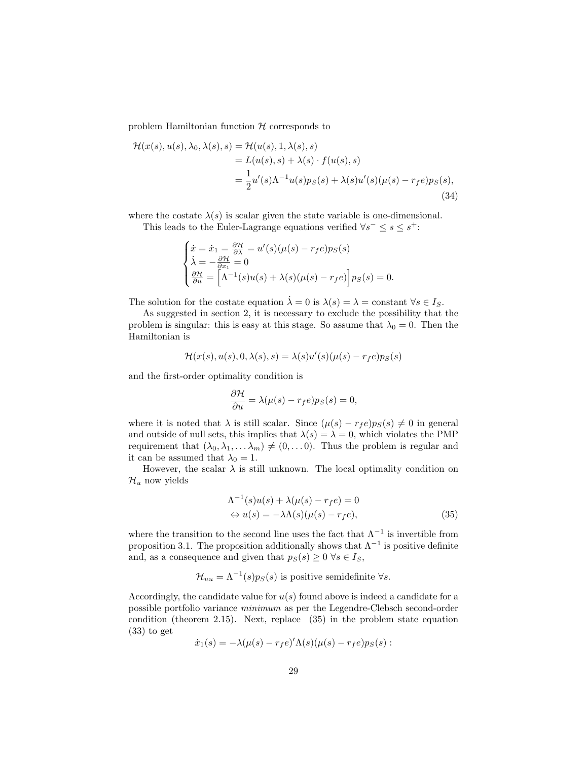problem Hamiltonian function  $H$  corresponds to

$$
\mathcal{H}(x(s), u(s), \lambda_0, \lambda(s), s) = \mathcal{H}(u(s), 1, \lambda(s), s)
$$
  
=  $L(u(s), s) + \lambda(s) \cdot f(u(s), s)$   
=  $\frac{1}{2}u'(s)\Lambda^{-1}u(s)p_S(s) + \lambda(s)u'(s)(\mu(s) - r_f e)p_S(s),$   
(34)

where the costate  $\lambda(s)$  is scalar given the state variable is one-dimensional.

This leads to the Euler-Lagrange equations verified  $\forall s^- \leq s \leq s^+$ :

$$
\begin{cases}\n\dot{x} = \dot{x}_1 = \frac{\partial \mathcal{H}}{\partial \lambda} = u'(s)(\mu(s) - r_f e)p_S(s) \\
\dot{\lambda} = -\frac{\partial \mathcal{H}}{\partial x_1} = 0 \\
\frac{\partial \mathcal{H}}{\partial u} = \left[\Lambda^{-1}(s)u(s) + \lambda(s)(\mu(s) - r_f e)\right]p_S(s) = 0.\n\end{cases}
$$

The solution for the costate equation  $\lambda = 0$  is  $\lambda(s) = \lambda =$  constant  $\forall s \in I_S$ .

As suggested in section 2, it is necessary to exclude the possibility that the problem is singular: this is easy at this stage. So assume that  $\lambda_0 = 0$ . Then the Hamiltonian is

$$
\mathcal{H}(x(s), u(s), 0, \lambda(s), s) = \lambda(s)u'(s)(\mu(s) - r_f e)p_S(s)
$$

and the first-order optimality condition is

$$
\frac{\partial \mathcal{H}}{\partial u} = \lambda(\mu(s) - r_f e) p_S(s) = 0,
$$

where it is noted that  $\lambda$  is still scalar. Since  $(\mu(s) - r_f e)p_S(s) \neq 0$  in general and outside of null sets, this implies that  $\lambda(s) = \lambda = 0$ , which violates the PMP requirement that  $(\lambda_0, \lambda_1, \dots, \lambda_m) \neq (0, \dots, 0)$ . Thus the problem is regular and it can be assumed that  $\lambda_0 = 1$ .

However, the scalar  $\lambda$  is still unknown. The local optimality condition on  $\mathcal{H}_u$  now yields

$$
\Lambda^{-1}(s)u(s) + \lambda(\mu(s) - r_f e) = 0
$$
  
\n
$$
\Leftrightarrow u(s) = -\lambda\Lambda(s)(\mu(s) - r_f e),
$$
\n(35)

where the transition to the second line uses the fact that  $\Lambda^{-1}$  is invertible from proposition 3.1. The proposition additionally shows that  $\Lambda^{-1}$  is positive definite and, as a consequence and given that  $p_S(s) \geq 0 \ \forall s \in I_S$ ,

$$
\mathcal{H}_{uu} = \Lambda^{-1}(s)p_S(s)
$$
 is positive semidefinite  $\forall s$ .

Accordingly, the candidate value for  $u(s)$  found above is indeed a candidate for a possible portfolio variance minimum as per the Legendre-Clebsch second-order condition (theorem 2.15). Next, replace (35) in the problem state equation (33) to get

$$
\dot{x}_1(s) = -\lambda(\mu(s) - r_f e')'\Lambda(s)(\mu(s) - r_f e)p_S(s) :
$$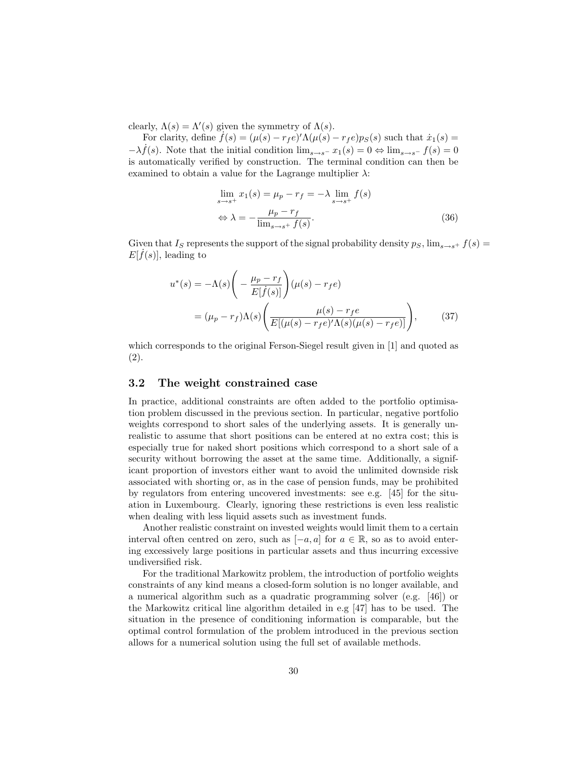clearly,  $\Lambda(s) = \Lambda'(s)$  given the symmetry of  $\Lambda(s)$ .

For clarity, define  $f(s) = (\mu(s) - r_f e)'\Lambda(\mu(s) - r_f e)p_S(s)$  such that  $\dot{x}_1(s) =$  $-\lambda \dot{f}(s)$ . Note that the initial condition  $\lim_{s\to s^-} x_1(s) = 0 \Leftrightarrow \lim_{s\to s^-} f(s) = 0$ is automatically verified by construction. The terminal condition can then be examined to obtain a value for the Lagrange multiplier  $\lambda$ :

$$
\lim_{s \to s^{+}} x_{1}(s) = \mu_{p} - r_{f} = -\lambda \lim_{s \to s^{+}} f(s)
$$
  
\n
$$
\Leftrightarrow \lambda = -\frac{\mu_{p} - r_{f}}{\lim_{s \to s^{+}} f(s)}.
$$
\n(36)

Given that I<sub>S</sub> represents the support of the signal probability density  $p_S$ ,  $\lim_{s\to s^+} f(s) =$  $E[\dot{f}(s)]$ , leading to

$$
u^*(s) = -\Lambda(s) \left( -\frac{\mu_p - r_f}{E[\dot{f}(s)]} \right) (\mu(s) - r_f e)
$$
  
= 
$$
(\mu_p - r_f) \Lambda(s) \left( \frac{\mu(s) - r_f e}{E[(\mu(s) - r_f e)'\Lambda(s)(\mu(s) - r_f e)]} \right),
$$
(37)

which corresponds to the original Ferson-Siegel result given in [1] and quoted as (2).

#### 3.2 The weight constrained case

In practice, additional constraints are often added to the portfolio optimisation problem discussed in the previous section. In particular, negative portfolio weights correspond to short sales of the underlying assets. It is generally unrealistic to assume that short positions can be entered at no extra cost; this is especially true for naked short positions which correspond to a short sale of a security without borrowing the asset at the same time. Additionally, a significant proportion of investors either want to avoid the unlimited downside risk associated with shorting or, as in the case of pension funds, may be prohibited by regulators from entering uncovered investments: see e.g. [45] for the situation in Luxembourg. Clearly, ignoring these restrictions is even less realistic when dealing with less liquid assets such as investment funds.

Another realistic constraint on invested weights would limit them to a certain interval often centred on zero, such as  $[-a, a]$  for  $a \in \mathbb{R}$ , so as to avoid entering excessively large positions in particular assets and thus incurring excessive undiversified risk.

For the traditional Markowitz problem, the introduction of portfolio weights constraints of any kind means a closed-form solution is no longer available, and a numerical algorithm such as a quadratic programming solver (e.g. [46]) or the Markowitz critical line algorithm detailed in e.g [47] has to be used. The situation in the presence of conditioning information is comparable, but the optimal control formulation of the problem introduced in the previous section allows for a numerical solution using the full set of available methods.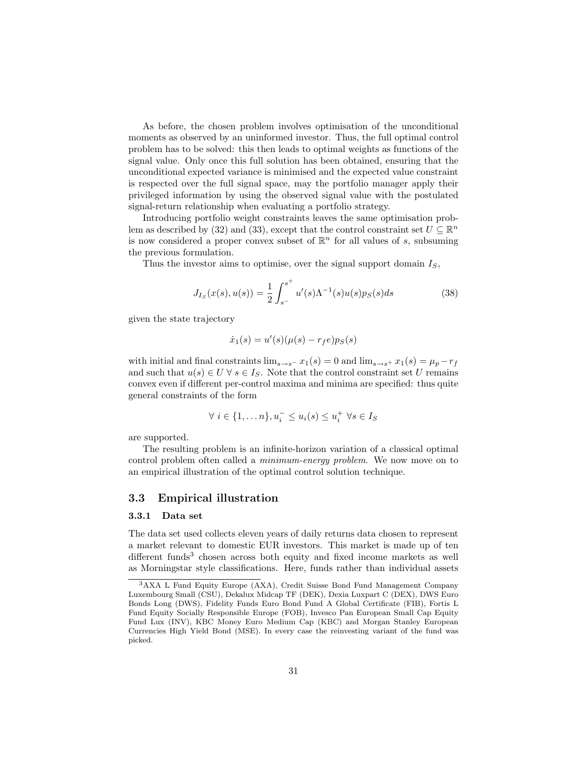As before, the chosen problem involves optimisation of the unconditional moments as observed by an uninformed investor. Thus, the full optimal control problem has to be solved: this then leads to optimal weights as functions of the signal value. Only once this full solution has been obtained, ensuring that the unconditional expected variance is minimised and the expected value constraint is respected over the full signal space, may the portfolio manager apply their privileged information by using the observed signal value with the postulated signal-return relationship when evaluating a portfolio strategy.

Introducing portfolio weight constraints leaves the same optimisation problem as described by (32) and (33), except that the control constraint set  $U \subseteq \mathbb{R}^n$ is now considered a proper convex subset of  $\mathbb{R}^n$  for all values of s, subsuming the previous formulation.

Thus the investor aims to optimise, over the signal support domain  $I<sub>S</sub>$ ,

$$
J_{Is}(x(s), u(s)) = \frac{1}{2} \int_{s}^{s^+} u'(s) \Lambda^{-1}(s) u(s) p_S(s) ds \tag{38}
$$

given the state trajectory

$$
\dot{x}_1(s) = u'(s)(\mu(s) - r_f e)p_S(s)
$$

with initial and final constraints  $\lim_{s\to s^-} x_1(s) = 0$  and  $\lim_{s\to s^+} x_1(s) = \mu_p - r_f$ and such that  $u(s) \in U \ \forall s \in I_S$ . Note that the control constraint set U remains convex even if different per-control maxima and minima are specified: thus quite general constraints of the form

$$
\forall i \in \{1, \dots n\}, u_i^- \le u_i(s) \le u_i^+ \ \forall s \in I_S
$$

are supported.

The resulting problem is an infinite-horizon variation of a classical optimal control problem often called a minimum-energy problem. We now move on to an empirical illustration of the optimal control solution technique.

#### 3.3 Empirical illustration

#### 3.3.1 Data set

The data set used collects eleven years of daily returns data chosen to represent a market relevant to domestic EUR investors. This market is made up of ten different funds<sup>3</sup> chosen across both equity and fixed income markets as well as Morningstar style classifications. Here, funds rather than individual assets

<sup>3</sup>AXA L Fund Equity Europe (AXA), Credit Suisse Bond Fund Management Company Luxembourg Small (CSU), Dekalux Midcap TF (DEK), Dexia Luxpart C (DEX), DWS Euro Bonds Long (DWS), Fidelity Funds Euro Bond Fund A Global Certificate (FIB), Fortis L Fund Equity Socially Responsible Europe (FOB), Invesco Pan European Small Cap Equity Fund Lux (INV), KBC Money Euro Medium Cap (KBC) and Morgan Stanley European Currencies High Yield Bond (MSE). In every case the reinvesting variant of the fund was picked.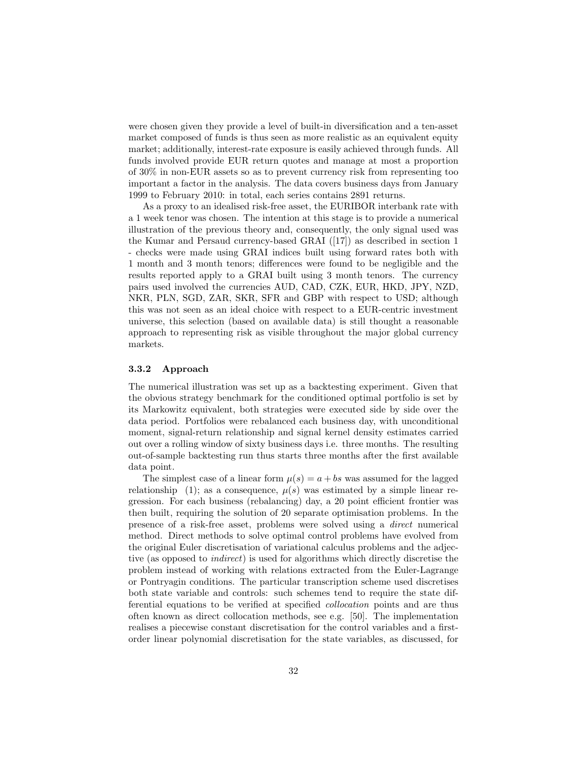were chosen given they provide a level of built-in diversification and a ten-asset market composed of funds is thus seen as more realistic as an equivalent equity market; additionally, interest-rate exposure is easily achieved through funds. All funds involved provide EUR return quotes and manage at most a proportion of 30% in non-EUR assets so as to prevent currency risk from representing too important a factor in the analysis. The data covers business days from January 1999 to February 2010: in total, each series contains 2891 returns.

As a proxy to an idealised risk-free asset, the EURIBOR interbank rate with a 1 week tenor was chosen. The intention at this stage is to provide a numerical illustration of the previous theory and, consequently, the only signal used was the Kumar and Persaud currency-based GRAI ([17]) as described in section 1 - checks were made using GRAI indices built using forward rates both with 1 month and 3 month tenors; differences were found to be negligible and the results reported apply to a GRAI built using 3 month tenors. The currency pairs used involved the currencies AUD, CAD, CZK, EUR, HKD, JPY, NZD, NKR, PLN, SGD, ZAR, SKR, SFR and GBP with respect to USD; although this was not seen as an ideal choice with respect to a EUR-centric investment universe, this selection (based on available data) is still thought a reasonable approach to representing risk as visible throughout the major global currency markets.

#### 3.3.2 Approach

The numerical illustration was set up as a backtesting experiment. Given that the obvious strategy benchmark for the conditioned optimal portfolio is set by its Markowitz equivalent, both strategies were executed side by side over the data period. Portfolios were rebalanced each business day, with unconditional moment, signal-return relationship and signal kernel density estimates carried out over a rolling window of sixty business days i.e. three months. The resulting out-of-sample backtesting run thus starts three months after the first available data point.

The simplest case of a linear form  $\mu(s) = a + bs$  was assumed for the lagged relationship (1); as a consequence,  $\mu(s)$  was estimated by a simple linear regression. For each business (rebalancing) day, a 20 point efficient frontier was then built, requiring the solution of 20 separate optimisation problems. In the presence of a risk-free asset, problems were solved using a direct numerical method. Direct methods to solve optimal control problems have evolved from the original Euler discretisation of variational calculus problems and the adjective (as opposed to indirect) is used for algorithms which directly discretise the problem instead of working with relations extracted from the Euler-Lagrange or Pontryagin conditions. The particular transcription scheme used discretises both state variable and controls: such schemes tend to require the state differential equations to be verified at specified collocation points and are thus often known as direct collocation methods, see e.g. [50]. The implementation realises a piecewise constant discretisation for the control variables and a firstorder linear polynomial discretisation for the state variables, as discussed, for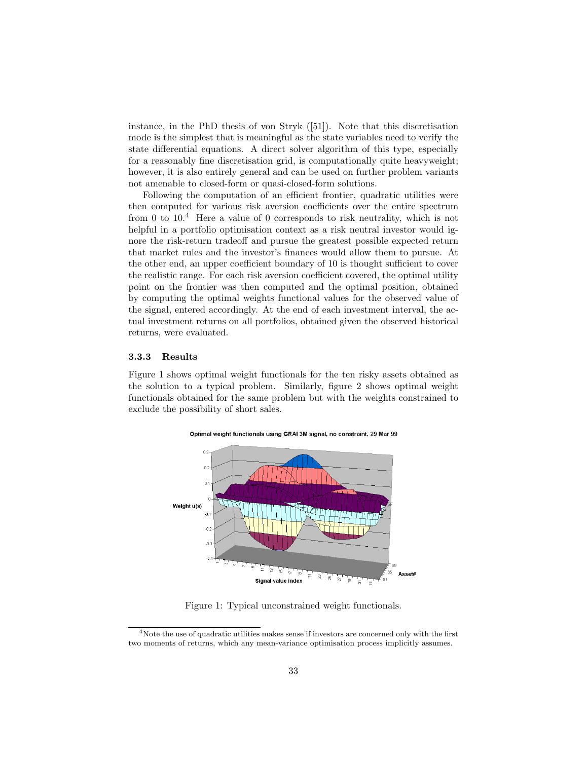instance, in the PhD thesis of von Stryk ([51]). Note that this discretisation mode is the simplest that is meaningful as the state variables need to verify the state differential equations. A direct solver algorithm of this type, especially for a reasonably fine discretisation grid, is computationally quite heavyweight; however, it is also entirely general and can be used on further problem variants not amenable to closed-form or quasi-closed-form solutions.

Following the computation of an efficient frontier, quadratic utilities were then computed for various risk aversion coefficients over the entire spectrum from 0 to 10.<sup>4</sup> Here a value of 0 corresponds to risk neutrality, which is not helpful in a portfolio optimisation context as a risk neutral investor would ignore the risk-return tradeoff and pursue the greatest possible expected return that market rules and the investor's finances would allow them to pursue. At the other end, an upper coefficient boundary of 10 is thought sufficient to cover the realistic range. For each risk aversion coefficient covered, the optimal utility point on the frontier was then computed and the optimal position, obtained by computing the optimal weights functional values for the observed value of the signal, entered accordingly. At the end of each investment interval, the actual investment returns on all portfolios, obtained given the observed historical returns, were evaluated.

#### 3.3.3 Results

Figure 1 shows optimal weight functionals for the ten risky assets obtained as the solution to a typical problem. Similarly, figure 2 shows optimal weight functionals obtained for the same problem but with the weights constrained to exclude the possibility of short sales.



Figure 1: Typical unconstrained weight functionals.

<sup>&</sup>lt;sup>4</sup>Note the use of quadratic utilities makes sense if investors are concerned only with the first two moments of returns, which any mean-variance optimisation process implicitly assumes.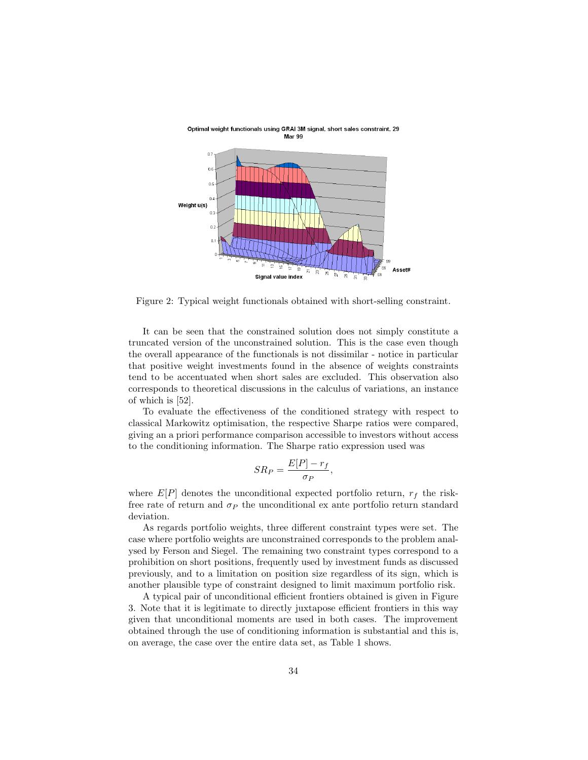

Optimal weight functionals using GRAI 3M signal, short sales constraint, 29 Mar 99

Figure 2: Typical weight functionals obtained with short-selling constraint.

It can be seen that the constrained solution does not simply constitute a truncated version of the unconstrained solution. This is the case even though the overall appearance of the functionals is not dissimilar - notice in particular that positive weight investments found in the absence of weights constraints tend to be accentuated when short sales are excluded. This observation also corresponds to theoretical discussions in the calculus of variations, an instance of which is [52].

To evaluate the effectiveness of the conditioned strategy with respect to classical Markowitz optimisation, the respective Sharpe ratios were compared, giving an a priori performance comparison accessible to investors without access to the conditioning information. The Sharpe ratio expression used was

$$
SR_P = \frac{E[P] - r_f}{\sigma_P},
$$

where  $E[P]$  denotes the unconditional expected portfolio return,  $r_f$  the riskfree rate of return and  $\sigma_P$  the unconditional ex ante portfolio return standard deviation.

As regards portfolio weights, three different constraint types were set. The case where portfolio weights are unconstrained corresponds to the problem analysed by Ferson and Siegel. The remaining two constraint types correspond to a prohibition on short positions, frequently used by investment funds as discussed previously, and to a limitation on position size regardless of its sign, which is another plausible type of constraint designed to limit maximum portfolio risk.

A typical pair of unconditional efficient frontiers obtained is given in Figure 3. Note that it is legitimate to directly juxtapose efficient frontiers in this way given that unconditional moments are used in both cases. The improvement obtained through the use of conditioning information is substantial and this is, on average, the case over the entire data set, as Table 1 shows.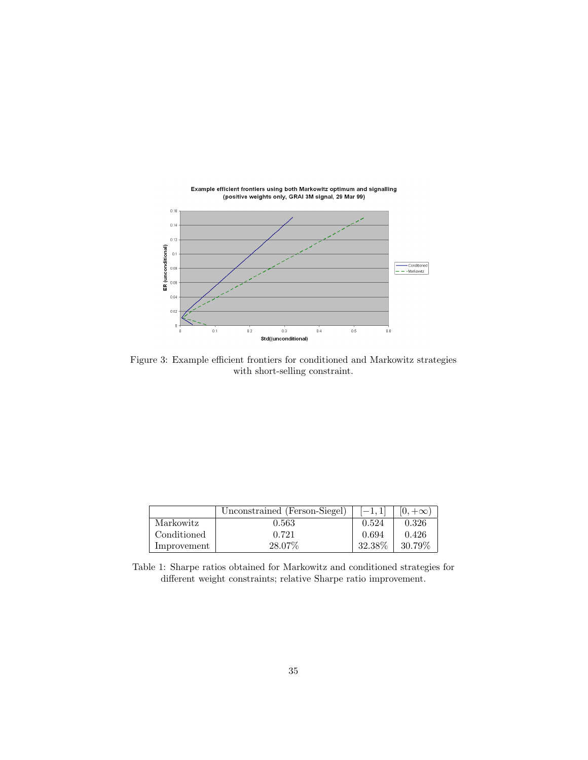

Example efficient frontiers using both Markowitz optimum and signalling<br>(positive weights only, GRAI 3M signal, 29 Mar 99)

Figure 3: Example efficient frontiers for conditioned and Markowitz strategies with short-selling constraint.

|             | Unconstrained (Ferson-Siegel) | $[-1, 1]$ | $(0, +\infty)$ |
|-------------|-------------------------------|-----------|----------------|
| Markowitz   | 0.563                         | 0.524     | 0.326          |
| Conditioned | 0.721                         | 0.694     | 0.426          |
| Improvement | 28.07%                        | 32.38%    | 30.79%         |

Table 1: Sharpe ratios obtained for Markowitz and conditioned strategies for different weight constraints; relative Sharpe ratio improvement.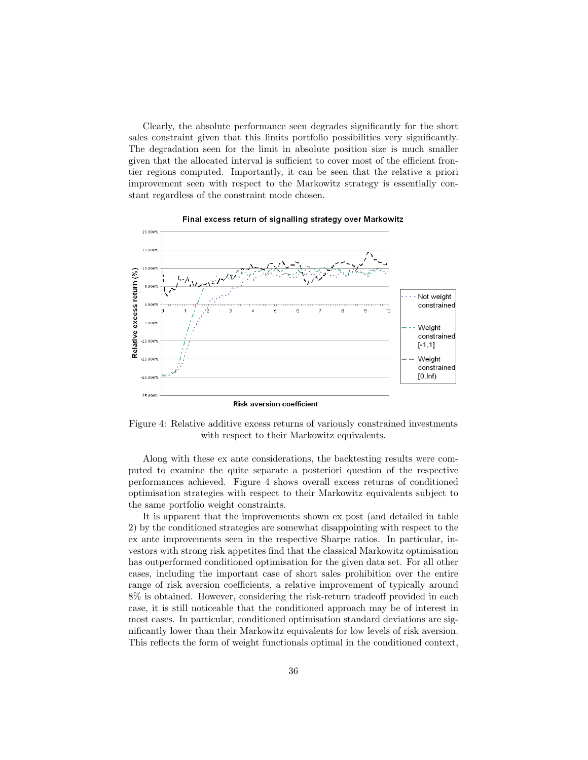Clearly, the absolute performance seen degrades significantly for the short sales constraint given that this limits portfolio possibilities very significantly. The degradation seen for the limit in absolute position size is much smaller given that the allocated interval is sufficient to cover most of the efficient frontier regions computed. Importantly, it can be seen that the relative a priori improvement seen with respect to the Markowitz strategy is essentially constant regardless of the constraint mode chosen.



Final excess return of signalling strategy over Markowitz

Figure 4: Relative additive excess returns of variously constrained investments with respect to their Markowitz equivalents.

Along with these ex ante considerations, the backtesting results were computed to examine the quite separate a posteriori question of the respective performances achieved. Figure 4 shows overall excess returns of conditioned optimisation strategies with respect to their Markowitz equivalents subject to the same portfolio weight constraints.

It is apparent that the improvements shown ex post (and detailed in table 2) by the conditioned strategies are somewhat disappointing with respect to the ex ante improvements seen in the respective Sharpe ratios. In particular, investors with strong risk appetites find that the classical Markowitz optimisation has outperformed conditioned optimisation for the given data set. For all other cases, including the important case of short sales prohibition over the entire range of risk aversion coefficients, a relative improvement of typically around 8% is obtained. However, considering the risk-return tradeoff provided in each case, it is still noticeable that the conditioned approach may be of interest in most cases. In particular, conditioned optimisation standard deviations are significantly lower than their Markowitz equivalents for low levels of risk aversion. This reflects the form of weight functionals optimal in the conditioned context,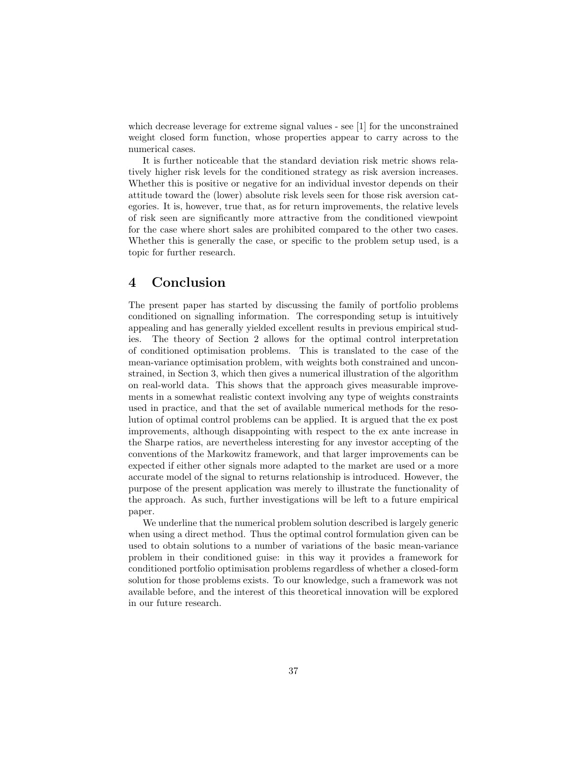which decrease leverage for extreme signal values - see [1] for the unconstrained weight closed form function, whose properties appear to carry across to the numerical cases.

It is further noticeable that the standard deviation risk metric shows relatively higher risk levels for the conditioned strategy as risk aversion increases. Whether this is positive or negative for an individual investor depends on their attitude toward the (lower) absolute risk levels seen for those risk aversion categories. It is, however, true that, as for return improvements, the relative levels of risk seen are significantly more attractive from the conditioned viewpoint for the case where short sales are prohibited compared to the other two cases. Whether this is generally the case, or specific to the problem setup used, is a topic for further research.

### 4 Conclusion

The present paper has started by discussing the family of portfolio problems conditioned on signalling information. The corresponding setup is intuitively appealing and has generally yielded excellent results in previous empirical studies. The theory of Section 2 allows for the optimal control interpretation of conditioned optimisation problems. This is translated to the case of the mean-variance optimisation problem, with weights both constrained and unconstrained, in Section 3, which then gives a numerical illustration of the algorithm on real-world data. This shows that the approach gives measurable improvements in a somewhat realistic context involving any type of weights constraints used in practice, and that the set of available numerical methods for the resolution of optimal control problems can be applied. It is argued that the ex post improvements, although disappointing with respect to the ex ante increase in the Sharpe ratios, are nevertheless interesting for any investor accepting of the conventions of the Markowitz framework, and that larger improvements can be expected if either other signals more adapted to the market are used or a more accurate model of the signal to returns relationship is introduced. However, the purpose of the present application was merely to illustrate the functionality of the approach. As such, further investigations will be left to a future empirical paper.

We underline that the numerical problem solution described is largely generic when using a direct method. Thus the optimal control formulation given can be used to obtain solutions to a number of variations of the basic mean-variance problem in their conditioned guise: in this way it provides a framework for conditioned portfolio optimisation problems regardless of whether a closed-form solution for those problems exists. To our knowledge, such a framework was not available before, and the interest of this theoretical innovation will be explored in our future research.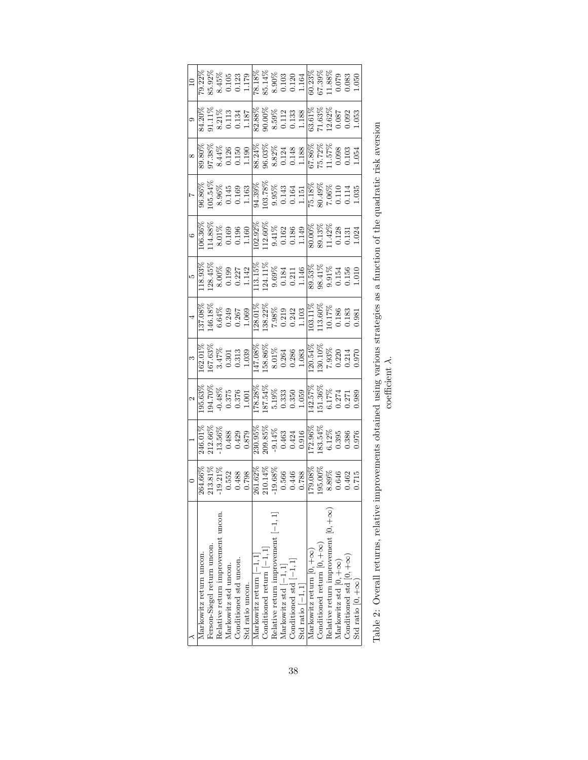| Markowitz return uncon.                    |                                                                                                                                                                                                                                                                                                                |                                                                                                                                                                                                                                                                 |                                                                                                                                                                                                                                                                      |                                                                                                                                                                                                                                                                          |                                                                                                                                                                                                                                                                      |                                                                                                                                                                                                                                                                  |                                                                                                                                                                                                                                                                      |                                                                                                                                                                                                                                                                                                   |                                                                                                                                                                                                                                                                     |                                                                                                                                                                                                                                                                                             |
|--------------------------------------------|----------------------------------------------------------------------------------------------------------------------------------------------------------------------------------------------------------------------------------------------------------------------------------------------------------------|-----------------------------------------------------------------------------------------------------------------------------------------------------------------------------------------------------------------------------------------------------------------|----------------------------------------------------------------------------------------------------------------------------------------------------------------------------------------------------------------------------------------------------------------------|--------------------------------------------------------------------------------------------------------------------------------------------------------------------------------------------------------------------------------------------------------------------------|----------------------------------------------------------------------------------------------------------------------------------------------------------------------------------------------------------------------------------------------------------------------|------------------------------------------------------------------------------------------------------------------------------------------------------------------------------------------------------------------------------------------------------------------|----------------------------------------------------------------------------------------------------------------------------------------------------------------------------------------------------------------------------------------------------------------------|---------------------------------------------------------------------------------------------------------------------------------------------------------------------------------------------------------------------------------------------------------------------------------------------------|---------------------------------------------------------------------------------------------------------------------------------------------------------------------------------------------------------------------------------------------------------------------|---------------------------------------------------------------------------------------------------------------------------------------------------------------------------------------------------------------------------------------------------------------------------------------------|
| Ferson-Siegel return uncon.                |                                                                                                                                                                                                                                                                                                                |                                                                                                                                                                                                                                                                 |                                                                                                                                                                                                                                                                      |                                                                                                                                                                                                                                                                          |                                                                                                                                                                                                                                                                      |                                                                                                                                                                                                                                                                  |                                                                                                                                                                                                                                                                      |                                                                                                                                                                                                                                                                                                   |                                                                                                                                                                                                                                                                     |                                                                                                                                                                                                                                                                                             |
| Relative return improvement uncon.         |                                                                                                                                                                                                                                                                                                                |                                                                                                                                                                                                                                                                 |                                                                                                                                                                                                                                                                      |                                                                                                                                                                                                                                                                          |                                                                                                                                                                                                                                                                      |                                                                                                                                                                                                                                                                  |                                                                                                                                                                                                                                                                      |                                                                                                                                                                                                                                                                                                   |                                                                                                                                                                                                                                                                     |                                                                                                                                                                                                                                                                                             |
| Markowitz std uncon.                       |                                                                                                                                                                                                                                                                                                                |                                                                                                                                                                                                                                                                 |                                                                                                                                                                                                                                                                      |                                                                                                                                                                                                                                                                          |                                                                                                                                                                                                                                                                      |                                                                                                                                                                                                                                                                  |                                                                                                                                                                                                                                                                      |                                                                                                                                                                                                                                                                                                   |                                                                                                                                                                                                                                                                     |                                                                                                                                                                                                                                                                                             |
| Conditioned std uncon.                     |                                                                                                                                                                                                                                                                                                                |                                                                                                                                                                                                                                                                 |                                                                                                                                                                                                                                                                      |                                                                                                                                                                                                                                                                          |                                                                                                                                                                                                                                                                      |                                                                                                                                                                                                                                                                  |                                                                                                                                                                                                                                                                      |                                                                                                                                                                                                                                                                                                   |                                                                                                                                                                                                                                                                     |                                                                                                                                                                                                                                                                                             |
| Std ratio uncon.                           | $\begin{array}{r} 0 \\ 264.66\% \\ 213.81\% \\ -19.21\% \\ -19.21\% \\ 0.798 \\ -0.798 \\ -0.798 \\ -0.798 \\ -0.780 \\ -0.780 \\ -0.780 \\ -0.780 \\ -0.780 \\ -0.780 \\ -0.780 \\ -0.646 \\ 0.646 \\ 0.642 \\ 0.646 \\ 0.646 \\ 0.646 \\ 0.646 \\ 0.646 \\ 0.646 \\ 0.646 \\ 0.646 \\ 0.646 \\ 0.646 \\ 0.6$ |                                                                                                                                                                                                                                                                 |                                                                                                                                                                                                                                                                      |                                                                                                                                                                                                                                                                          |                                                                                                                                                                                                                                                                      | $\begin{array}{r} 5\\118.93\%\\128.45\%\\20.99\\8.00\%\\6.0199\\0.131\\113.15\%\\124.8\%\\131.18\%\\131.18\%\\131.18\%\\131.19\%\\131.19\%\\131.19\%\\131.19\%\\131.19\%\\131.19\%\\131.19\%\\131.19\%\\131.19\%\\131.19\%\\131.19\%\\131.19\%\\131.19\%\\131.1$ |                                                                                                                                                                                                                                                                      |                                                                                                                                                                                                                                                                                                   | $\begin{array}{r} 8\\ 898\%\\ 9398\%\\ 95.33\%\\ 95.34\%\\ 95.11\\ 96\\ 115\\ 96\\ 111\\ 96\\ 113\\ 88.32\%\\ 96.32\%\\ 96.32\%\\ 96.32\%\\ 96.32\%\\ 96.32\%\\ 113\\ 96.32\%\\ 96.32\%\\ 96.32\%\\ 96.32\%\\ 96.32\%\\ 96.32\%\\ 96.32\%\\ 96.32\%\\ 96.32\%\\ 96$ | $\begin{array}{r} 10 \\ 79.22\% \\ 89.92\% \\ 89.45\% \\ 89.45\% \\ 99.123 \\ 117 \\ 89.123 \\ 123 \\ 138 \\ 14\% \\ 99.123 \\ 159.128 \\ 169.123 \\ 178.13\% \\ 99.123 \\ 189.123 \\ 199.123 \\ 199.123 \\ 199.123 \\ 199.123 \\ 199.123 \\ 199.123 \\ 199.123 \\ 199.123 \\ 199.123 \\ 1$ |
| Markowitz return $[-1, 1]$                 |                                                                                                                                                                                                                                                                                                                |                                                                                                                                                                                                                                                                 |                                                                                                                                                                                                                                                                      |                                                                                                                                                                                                                                                                          |                                                                                                                                                                                                                                                                      |                                                                                                                                                                                                                                                                  |                                                                                                                                                                                                                                                                      |                                                                                                                                                                                                                                                                                                   |                                                                                                                                                                                                                                                                     |                                                                                                                                                                                                                                                                                             |
| Conditioned return $[-1, 1]$               |                                                                                                                                                                                                                                                                                                                |                                                                                                                                                                                                                                                                 |                                                                                                                                                                                                                                                                      |                                                                                                                                                                                                                                                                          |                                                                                                                                                                                                                                                                      |                                                                                                                                                                                                                                                                  |                                                                                                                                                                                                                                                                      |                                                                                                                                                                                                                                                                                                   |                                                                                                                                                                                                                                                                     |                                                                                                                                                                                                                                                                                             |
| Relative return improvement $[-1, 1]$      |                                                                                                                                                                                                                                                                                                                |                                                                                                                                                                                                                                                                 |                                                                                                                                                                                                                                                                      |                                                                                                                                                                                                                                                                          |                                                                                                                                                                                                                                                                      |                                                                                                                                                                                                                                                                  |                                                                                                                                                                                                                                                                      |                                                                                                                                                                                                                                                                                                   |                                                                                                                                                                                                                                                                     |                                                                                                                                                                                                                                                                                             |
| Markowitz std $[-1, 1]$                    |                                                                                                                                                                                                                                                                                                                |                                                                                                                                                                                                                                                                 |                                                                                                                                                                                                                                                                      |                                                                                                                                                                                                                                                                          |                                                                                                                                                                                                                                                                      |                                                                                                                                                                                                                                                                  |                                                                                                                                                                                                                                                                      |                                                                                                                                                                                                                                                                                                   |                                                                                                                                                                                                                                                                     |                                                                                                                                                                                                                                                                                             |
| Conditioned std $[-1, 1]$                  |                                                                                                                                                                                                                                                                                                                |                                                                                                                                                                                                                                                                 |                                                                                                                                                                                                                                                                      |                                                                                                                                                                                                                                                                          |                                                                                                                                                                                                                                                                      |                                                                                                                                                                                                                                                                  |                                                                                                                                                                                                                                                                      |                                                                                                                                                                                                                                                                                                   |                                                                                                                                                                                                                                                                     |                                                                                                                                                                                                                                                                                             |
| Std ratio $[-1, 1]$                        |                                                                                                                                                                                                                                                                                                                |                                                                                                                                                                                                                                                                 |                                                                                                                                                                                                                                                                      |                                                                                                                                                                                                                                                                          |                                                                                                                                                                                                                                                                      |                                                                                                                                                                                                                                                                  |                                                                                                                                                                                                                                                                      |                                                                                                                                                                                                                                                                                                   |                                                                                                                                                                                                                                                                     |                                                                                                                                                                                                                                                                                             |
| Markowitz return $[0, +\infty)$            |                                                                                                                                                                                                                                                                                                                |                                                                                                                                                                                                                                                                 |                                                                                                                                                                                                                                                                      |                                                                                                                                                                                                                                                                          |                                                                                                                                                                                                                                                                      |                                                                                                                                                                                                                                                                  |                                                                                                                                                                                                                                                                      |                                                                                                                                                                                                                                                                                                   |                                                                                                                                                                                                                                                                     |                                                                                                                                                                                                                                                                                             |
| Conditioned return $[0, +\infty)$          |                                                                                                                                                                                                                                                                                                                |                                                                                                                                                                                                                                                                 |                                                                                                                                                                                                                                                                      |                                                                                                                                                                                                                                                                          |                                                                                                                                                                                                                                                                      |                                                                                                                                                                                                                                                                  |                                                                                                                                                                                                                                                                      |                                                                                                                                                                                                                                                                                                   |                                                                                                                                                                                                                                                                     |                                                                                                                                                                                                                                                                                             |
| Relative return improvement $[0, +\infty)$ |                                                                                                                                                                                                                                                                                                                |                                                                                                                                                                                                                                                                 |                                                                                                                                                                                                                                                                      |                                                                                                                                                                                                                                                                          |                                                                                                                                                                                                                                                                      |                                                                                                                                                                                                                                                                  |                                                                                                                                                                                                                                                                      |                                                                                                                                                                                                                                                                                                   |                                                                                                                                                                                                                                                                     |                                                                                                                                                                                                                                                                                             |
| Markowitz std $[0, +\infty)$               |                                                                                                                                                                                                                                                                                                                |                                                                                                                                                                                                                                                                 |                                                                                                                                                                                                                                                                      |                                                                                                                                                                                                                                                                          |                                                                                                                                                                                                                                                                      |                                                                                                                                                                                                                                                                  |                                                                                                                                                                                                                                                                      |                                                                                                                                                                                                                                                                                                   |                                                                                                                                                                                                                                                                     |                                                                                                                                                                                                                                                                                             |
| Conditioned std $[0, +\infty)$             |                                                                                                                                                                                                                                                                                                                |                                                                                                                                                                                                                                                                 |                                                                                                                                                                                                                                                                      |                                                                                                                                                                                                                                                                          |                                                                                                                                                                                                                                                                      |                                                                                                                                                                                                                                                                  |                                                                                                                                                                                                                                                                      |                                                                                                                                                                                                                                                                                                   |                                                                                                                                                                                                                                                                     |                                                                                                                                                                                                                                                                                             |
| Std ratio $[0, +\infty)$                   |                                                                                                                                                                                                                                                                                                                | $\begin{array}{r} 1\\246.01\%\\212.66\%\\-13.56\%\\-13.56\%\\-13.56\%\\-13.08\%\\-13.08\%\\-13.08\%\\-13.08\%\\-13.08\%\\-13.08\%\\-13.08\%\\-13.08\%\\-13.08\%\\-13.08\%\\-13.08\%\\-13.08\%\\-13.08\%\\-13.08\%\\-13.08\%\\-13.08\%\\-13.08\%\\-13.08\%\\-13$ | $\begin{array}{r} 2\\195.63\%\\194.70\%\\194.70\%\\-0.375\\0.375\\178.28\%\\1178.28\%\\-0.333\\1178.333\\-0.350\\-0.350\\-0.59\\-0.59\\-0.274\\-0.271\\-0.271\\-0.271\\-0.271\\-0.271\\-0.271\\-0.271\\-0.271\\-0.273\\-0.274\\-0.271\\-0.271\\-0.271\\-0.271\\-0.2$ | $\begin{array}{r} 3\\162.01\%\\167.63\%\\3.47\%\\ 0.301\\147.08\%\\167.63\%\\0.301\\147.08\%\\8.01\%\\0.264\\0.286\\0.286\\0.214\\0.230\\0.24\\0.214\\0.320\\0.313\\0.214\\0.320\\0.313\\0.320\\0.314\\0.320\\0.320\\0.321\\0.320\\0.320\\0.321\\0.320\\0.321\\0.320\\0$ | $\begin{array}{r} 4\\137.08\%\\146.18\%\\6.64\%\\6.0249\\0.267\\128.01\%\\7.98\%\\7.98\%\\0.219\\1103.11\%\\1103.10\%\\1.103\\103.17\%\\1.103\\103.17\%\\0.183\\10.17\%\\0.183\\0.0183\\0.0183\\0.0183\\0.0183\\0.0183\\0.0183\\0.0183\\0.0183\\0.0183\\0.0183\\0.0$ |                                                                                                                                                                                                                                                                  | $\begin{array}{r} 6\\ 106.36\%\\ 114.88\%\\ 8.01\%\\ 0.196\\ 0.196\\ 0.196\\ 102.92\%\\ 0.182\\ 0.183\\ 0.184\\ 0.149\\ 0.180\\ 0.184\\ 0.131\\ 0.131\\ 0.131\\ 0.131\\ 0.131\\ 0.131\\ 1.42\%\\ 0.131\\ 0.131\\ 1.42\%\\ 0.131\\ 1.43\\ 0.131\\ 1.43\\ 0.131\\ 1.4$ | $\begin{array}{r} 7 \\ 96.86\% \\ 105.54\% \\ 8.96\% \\ 8.96\% \\ 9.145 \\ 10.169 \\ 9.39\% \\ 103.8\% \\ 9.38\% \\ 103.8\% \\ 104.39\% \\ 10141 \\ 1151 \\ 168.8\% \\ 10000 \\ 1111 \\ 1151 \\ 180\% \\ 10000 \\ 1114 \\ 1151 \\ 1800 \\ 1100 \\ 1114 \\ 11000 \\ 1114 \\ 11000 \\ 1114 \\ 1100$ |                                                                                                                                                                                                                                                                     |                                                                                                                                                                                                                                                                                             |
|                                            |                                                                                                                                                                                                                                                                                                                |                                                                                                                                                                                                                                                                 |                                                                                                                                                                                                                                                                      |                                                                                                                                                                                                                                                                          |                                                                                                                                                                                                                                                                      |                                                                                                                                                                                                                                                                  | $\ddot{c}$                                                                                                                                                                                                                                                           | $\ddot{\cdot}$                                                                                                                                                                                                                                                                                    | $\overline{\cdot}$                                                                                                                                                                                                                                                  |                                                                                                                                                                                                                                                                                             |

|   | $C1$ $C2$ $C3$ $C4$ $C5$ $C6$                           |   |
|---|---------------------------------------------------------|---|
|   |                                                         |   |
|   | $\frac{1}{2}$<br>l                                      |   |
|   | $\frac{1}{2}$                                           |   |
|   |                                                         |   |
|   | i<br>S                                                  |   |
|   |                                                         |   |
|   | to state of our control<br>$\frac{1}{2}$                |   |
|   | į<br>١                                                  |   |
|   |                                                         |   |
|   | which is a company<br>いきそく きそくりり そく くそそくそう              |   |
|   | J                                                       | j |
|   | I                                                       |   |
|   | i<br>$\overline{\phantom{a}}$<br>l                      |   |
|   | $\frac{1}{2}$<br>ı<br>l<br>i                            |   |
|   |                                                         |   |
|   | -<br>-<br>-<br>-<br>I                                   |   |
|   | i<br>Co<br>ı<br>i<br>$\overline{\phantom{a}}$<br>l<br>l |   |
|   | í<br>֚֘֝<br>l                                           |   |
|   | l                                                       |   |
| I | ı<br>1<br>ֺ֚<br>I                                       |   |
|   |                                                         |   |

coefficient  $\lambda$ .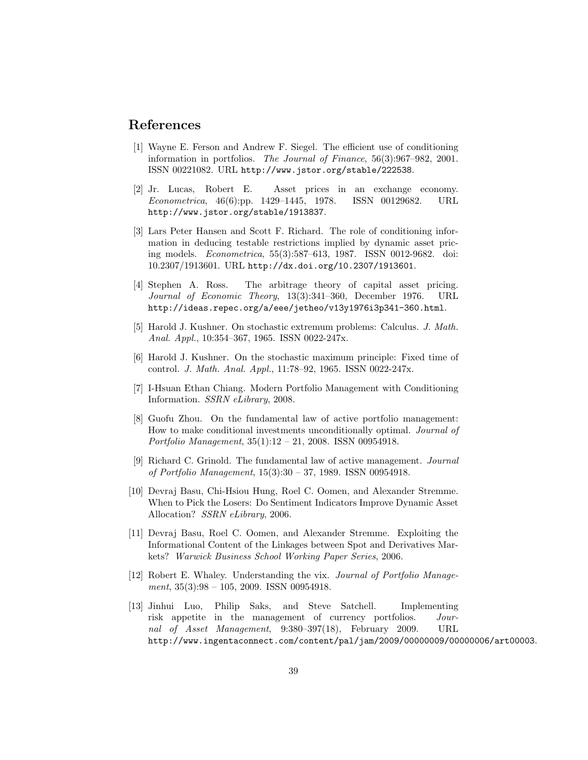### References

- [1] Wayne E. Ferson and Andrew F. Siegel. The efficient use of conditioning information in portfolios. The Journal of Finance, 56(3):967–982, 2001. ISSN 00221082. URL http://www.jstor.org/stable/222538.
- [2] Jr. Lucas, Robert E. Asset prices in an exchange economy. Econometrica, 46(6):pp. 1429–1445, 1978. ISSN 00129682. URL http://www.jstor.org/stable/1913837.
- [3] Lars Peter Hansen and Scott F. Richard. The role of conditioning information in deducing testable restrictions implied by dynamic asset pricing models. Econometrica, 55(3):587–613, 1987. ISSN 0012-9682. doi: 10.2307/1913601. URL http://dx.doi.org/10.2307/1913601.
- [4] Stephen A. Ross. The arbitrage theory of capital asset pricing. Journal of Economic Theory, 13(3):341–360, December 1976. URL http://ideas.repec.org/a/eee/jetheo/v13y1976i3p341-360.html.
- [5] Harold J. Kushner. On stochastic extremum problems: Calculus. J. Math. Anal. Appl., 10:354–367, 1965. ISSN 0022-247x.
- [6] Harold J. Kushner. On the stochastic maximum principle: Fixed time of control. J. Math. Anal. Appl., 11:78–92, 1965. ISSN 0022-247x.
- [7] I-Hsuan Ethan Chiang. Modern Portfolio Management with Conditioning Information. SSRN eLibrary, 2008.
- [8] Guofu Zhou. On the fundamental law of active portfolio management: How to make conditional investments unconditionally optimal. Journal of Portfolio Management, 35(1):12 – 21, 2008. ISSN 00954918.
- [9] Richard C. Grinold. The fundamental law of active management. Journal of Portfolio Management, 15(3):30 – 37, 1989. ISSN 00954918.
- [10] Devraj Basu, Chi-Hsiou Hung, Roel C. Oomen, and Alexander Stremme. When to Pick the Losers: Do Sentiment Indicators Improve Dynamic Asset Allocation? SSRN eLibrary, 2006.
- [11] Devraj Basu, Roel C. Oomen, and Alexander Stremme. Exploiting the Informational Content of the Linkages between Spot and Derivatives Markets? Warwick Business School Working Paper Series, 2006.
- [12] Robert E. Whaley. Understanding the vix. Journal of Portfolio Management,  $35(3):98 - 105$ ,  $2009$ . ISSN 00954918.
- [13] Jinhui Luo, Philip Saks, and Steve Satchell. Implementing risk appetite in the management of currency portfolios. Journal of Asset Management, 9:380–397(18), February 2009. URL http://www.ingentaconnect.com/content/pal/jam/2009/00000009/00000006/art00003.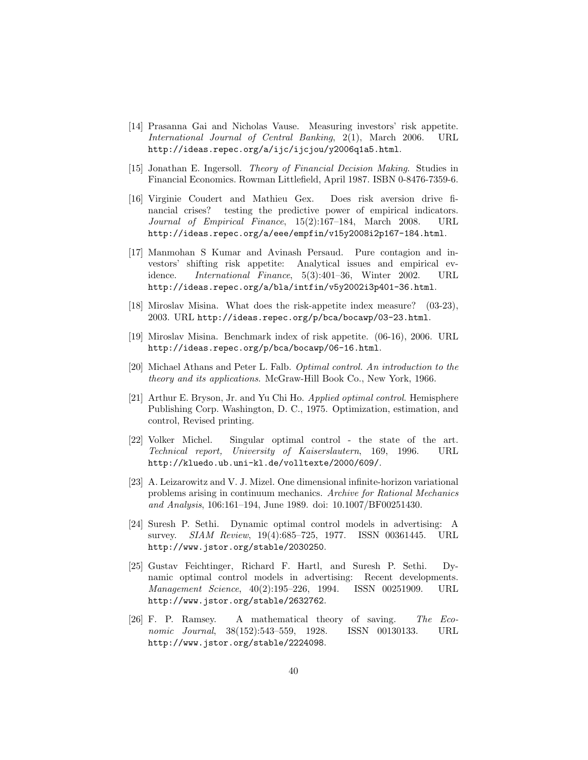- [14] Prasanna Gai and Nicholas Vause. Measuring investors' risk appetite. International Journal of Central Banking, 2(1), March 2006. URL http://ideas.repec.org/a/ijc/ijcjou/y2006q1a5.html.
- [15] Jonathan E. Ingersoll. Theory of Financial Decision Making. Studies in Financial Economics. Rowman Littlefield, April 1987. ISBN 0-8476-7359-6.
- [16] Virginie Coudert and Mathieu Gex. Does risk aversion drive financial crises? testing the predictive power of empirical indicators. Journal of Empirical Finance, 15(2):167–184, March 2008. URL http://ideas.repec.org/a/eee/empfin/v15y2008i2p167-184.html.
- [17] Manmohan S Kumar and Avinash Persaud. Pure contagion and investors' shifting risk appetite: Analytical issues and empirical evidence. International Finance, 5(3):401–36, Winter 2002. URL http://ideas.repec.org/a/bla/intfin/v5y2002i3p401-36.html.
- [18] Miroslav Misina. What does the risk-appetite index measure? (03-23), 2003. URL http://ideas.repec.org/p/bca/bocawp/03-23.html.
- [19] Miroslav Misina. Benchmark index of risk appetite. (06-16), 2006. URL http://ideas.repec.org/p/bca/bocawp/06-16.html.
- [20] Michael Athans and Peter L. Falb. Optimal control. An introduction to the theory and its applications. McGraw-Hill Book Co., New York, 1966.
- [21] Arthur E. Bryson, Jr. and Yu Chi Ho. Applied optimal control. Hemisphere Publishing Corp. Washington, D. C., 1975. Optimization, estimation, and control, Revised printing.
- [22] Volker Michel. Singular optimal control the state of the art. Technical report, University of Kaiserslautern, 169, 1996. URL http://kluedo.ub.uni-kl.de/volltexte/2000/609/.
- [23] A. Leizarowitz and V. J. Mizel. One dimensional infinite-horizon variational problems arising in continuum mechanics. Archive for Rational Mechanics and Analysis, 106:161–194, June 1989. doi: 10.1007/BF00251430.
- [24] Suresh P. Sethi. Dynamic optimal control models in advertising: A survey. SIAM Review, 19(4):685–725, 1977. ISSN 00361445. URL http://www.jstor.org/stable/2030250.
- [25] Gustav Feichtinger, Richard F. Hartl, and Suresh P. Sethi. Dynamic optimal control models in advertising: Recent developments. Management Science, 40(2):195–226, 1994. ISSN 00251909. URL http://www.jstor.org/stable/2632762.
- [26] F. P. Ramsey. A mathematical theory of saving. The Economic Journal, 38(152):543–559, 1928. ISSN 00130133. URL http://www.jstor.org/stable/2224098.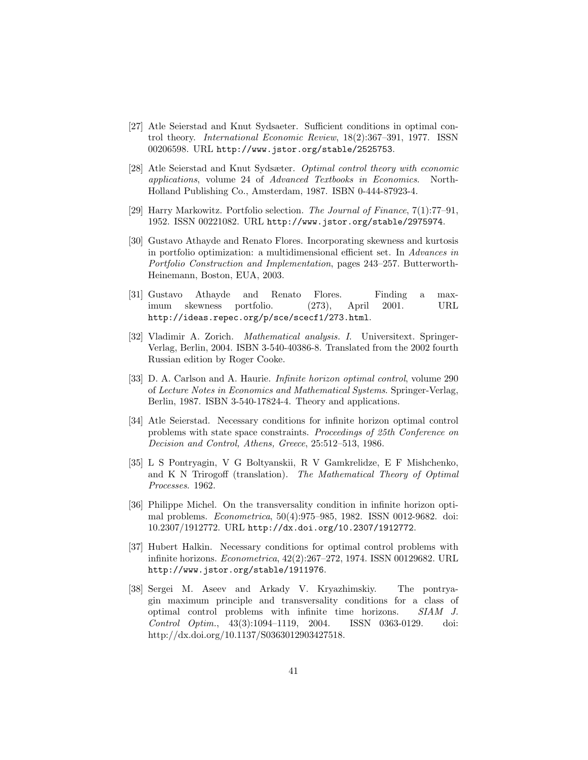- [27] Atle Seierstad and Knut Sydsaeter. Sufficient conditions in optimal control theory. International Economic Review, 18(2):367–391, 1977. ISSN 00206598. URL http://www.jstor.org/stable/2525753.
- [28] Atle Seierstad and Knut Sydsæter. Optimal control theory with economic applications, volume 24 of Advanced Textbooks in Economics. North-Holland Publishing Co., Amsterdam, 1987. ISBN 0-444-87923-4.
- [29] Harry Markowitz. Portfolio selection. The Journal of Finance, 7(1):77–91, 1952. ISSN 00221082. URL http://www.jstor.org/stable/2975974.
- [30] Gustavo Athayde and Renato Flores. Incorporating skewness and kurtosis in portfolio optimization: a multidimensional efficient set. In Advances in Portfolio Construction and Implementation, pages 243–257. Butterworth-Heinemann, Boston, EUA, 2003.
- [31] Gustavo Athayde and Renato Flores. Finding a maximum skewness portfolio. (273), April 2001. URL http://ideas.repec.org/p/sce/scecf1/273.html.
- [32] Vladimir A. Zorich. Mathematical analysis. I. Universitext. Springer-Verlag, Berlin, 2004. ISBN 3-540-40386-8. Translated from the 2002 fourth Russian edition by Roger Cooke.
- [33] D. A. Carlson and A. Haurie. Infinite horizon optimal control, volume 290 of Lecture Notes in Economics and Mathematical Systems. Springer-Verlag, Berlin, 1987. ISBN 3-540-17824-4. Theory and applications.
- [34] Atle Seierstad. Necessary conditions for infinite horizon optimal control problems with state space constraints. Proceedings of 25th Conference on Decision and Control, Athens, Greece, 25:512–513, 1986.
- [35] L S Pontryagin, V G Boltyanskii, R V Gamkrelidze, E F Mishchenko, and K N Trirogoff (translation). The Mathematical Theory of Optimal Processes. 1962.
- [36] Philippe Michel. On the transversality condition in infinite horizon optimal problems. Econometrica, 50(4):975–985, 1982. ISSN 0012-9682. doi: 10.2307/1912772. URL http://dx.doi.org/10.2307/1912772.
- [37] Hubert Halkin. Necessary conditions for optimal control problems with infinite horizons. Econometrica, 42(2):267–272, 1974. ISSN 00129682. URL http://www.jstor.org/stable/1911976.
- [38] Sergei M. Aseev and Arkady V. Kryazhimskiy. The pontryagin maximum principle and transversality conditions for a class of optimal control problems with infinite time horizons. SIAM J. Control Optim., 43(3):1094–1119, 2004. ISSN 0363-0129. doi: http://dx.doi.org/10.1137/S0363012903427518.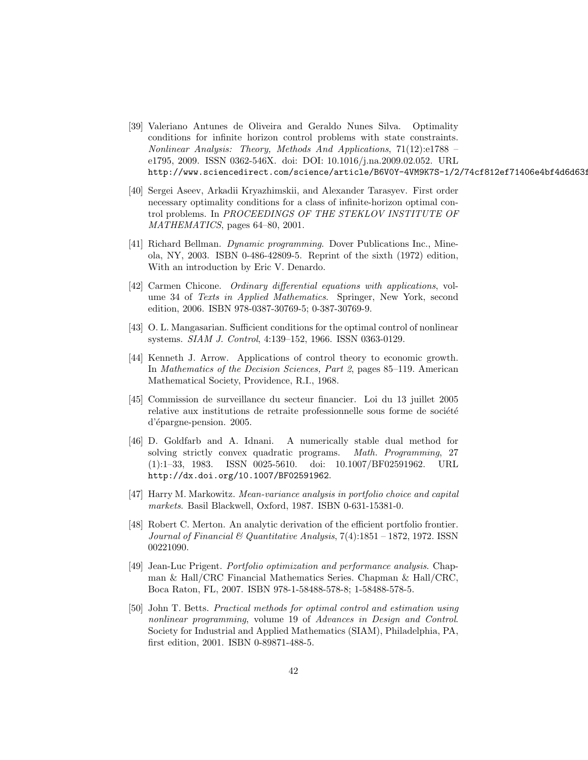- [39] Valeriano Antunes de Oliveira and Geraldo Nunes Silva. Optimality conditions for infinite horizon control problems with state constraints. Nonlinear Analysis: Theory, Methods And Applications, 71(12):e1788 – e1795, 2009. ISSN 0362-546X. doi: DOI: 10.1016/j.na.2009.02.052. URL http://www.sciencedirect.com/science/article/B6V0Y-4VM9K7S-1/2/74cf812ef71406e4bf4d6d633
- [40] Sergei Aseev, Arkadii Kryazhimskii, and Alexander Tarasyev. First order necessary optimality conditions for a class of infinite-horizon optimal control problems. In PROCEEDINGS OF THE STEKLOV INSTITUTE OF MATHEMATICS, pages 64–80, 2001.
- [41] Richard Bellman. Dynamic programming. Dover Publications Inc., Mineola, NY, 2003. ISBN 0-486-42809-5. Reprint of the sixth (1972) edition, With an introduction by Eric V. Denardo.
- [42] Carmen Chicone. Ordinary differential equations with applications, volume 34 of Texts in Applied Mathematics. Springer, New York, second edition, 2006. ISBN 978-0387-30769-5; 0-387-30769-9.
- [43] O. L. Mangasarian. Sufficient conditions for the optimal control of nonlinear systems. SIAM J. Control, 4:139–152, 1966. ISSN 0363-0129.
- [44] Kenneth J. Arrow. Applications of control theory to economic growth. In Mathematics of the Decision Sciences, Part 2, pages 85–119. American Mathematical Society, Providence, R.I., 1968.
- [45] Commission de surveillance du secteur financier. Loi du 13 juillet 2005 relative aux institutions de retraite professionnelle sous forme de société d'épargne-pension. 2005.
- [46] D. Goldfarb and A. Idnani. A numerically stable dual method for solving strictly convex quadratic programs. Math. Programming, 27 (1):1–33, 1983. ISSN 0025-5610. doi: 10.1007/BF02591962. URL http://dx.doi.org/10.1007/BF02591962.
- [47] Harry M. Markowitz. Mean-variance analysis in portfolio choice and capital markets. Basil Blackwell, Oxford, 1987. ISBN 0-631-15381-0.
- [48] Robert C. Merton. An analytic derivation of the efficient portfolio frontier. Journal of Financial  $\mathcal B$  Quantitative Analysis, 7(4):1851 – 1872, 1972. ISSN 00221090.
- [49] Jean-Luc Prigent. Portfolio optimization and performance analysis. Chapman & Hall/CRC Financial Mathematics Series. Chapman & Hall/CRC, Boca Raton, FL, 2007. ISBN 978-1-58488-578-8; 1-58488-578-5.
- [50] John T. Betts. Practical methods for optimal control and estimation using nonlinear programming, volume 19 of Advances in Design and Control. Society for Industrial and Applied Mathematics (SIAM), Philadelphia, PA, first edition, 2001. ISBN 0-89871-488-5.